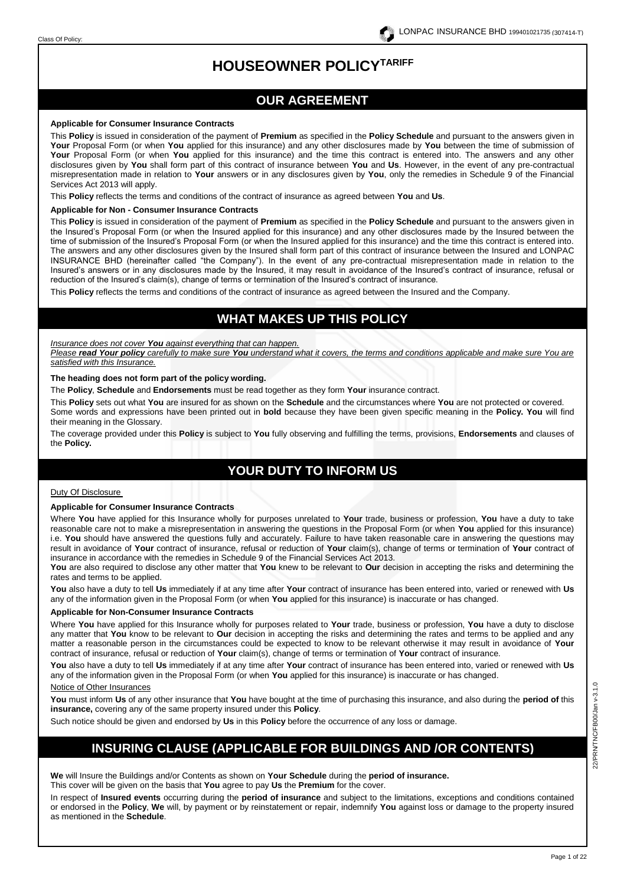# **HOUSEOWNER POLICYTARIFF**

# **OUR AGREEMENT**

#### **Applicable for Consumer Insurance Contracts**

This **Policy** is issued in consideration of the payment of **Premium** as specified in the **Policy Schedule** and pursuant to the answers given in **Your** Proposal Form (or when **You** applied for this insurance) and any other disclosures made by **You** between the time of submission of **Your** Proposal Form (or when **You** applied for this insurance) and the time this contract is entered into. The answers and any other disclosures given by **You** shall form part of this contract of insurance between **You** and **Us**. However, in the event of any pre-contractual misrepresentation made in relation to **Your** answers or in any disclosures given by **You**, only the remedies in Schedule 9 of the Financial Services Act 2013 will apply.

This **Policy** reflects the terms and conditions of the contract of insurance as agreed between **You** and **Us**.

#### **Applicable for Non - Consumer Insurance Contracts**

This **Policy** is issued in consideration of the payment of **Premium** as specified in the **Policy Schedule** and pursuant to the answers given in the Insured's Proposal Form (or when the Insured applied for this insurance) and any other disclosures made by the Insured between the time of submission of the Insured's Proposal Form (or when the Insured applied for this insurance) and the time this contract is entered into. The answers and any other disclosures given by the Insured shall form part of this contract of insurance between the Insured and LONPAC INSURANCE BHD (hereinafter called "the Company"). In the event of any pre-contractual misrepresentation made in relation to the Insured's answers or in any disclosures made by the Insured, it may result in avoidance of the Insured's contract of insurance, refusal or reduction of the Insured's claim(s), change of terms or termination of the Insured's contract of insurance.

This **Policy** reflects the terms and conditions of the contract of insurance as agreed between the Insured and the Company.

# **WHAT MAKES UP THIS POLICY**

#### *Insurance does not cover You against everything that can happen.*

*Please read Your policy carefully to make sure You understand what it covers, the terms and conditions applicable and make sure You are satisfied with this Insurance.*

#### **The heading does not form part of the policy wording.**

The **Policy**, **Schedule** and **Endorsements** must be read together as they form **Your** insurance contract.

This **Policy** sets out what **You** are insured for as shown on the **Schedule** and the circumstances where **You** are not protected or covered. Some words and expressions have been printed out in **bold** because they have been given specific meaning in the **Policy. You** will find their meaning in the Glossary.

The coverage provided under this **Policy** is subject to **You** fully observing and fulfilling the terms, provisions, **Endorsements** and clauses of the **Policy.**

# **YOUR DUTY TO INFORM US**

#### Duty Of Disclosure

#### **Applicable for Consumer Insurance Contracts**

Where **You** have applied for this Insurance wholly for purposes unrelated to **Your** trade, business or profession, **You** have a duty to take reasonable care not to make a misrepresentation in answering the questions in the Proposal Form (or when **You** applied for this insurance) i.e. **You** should have answered the questions fully and accurately. Failure to have taken reasonable care in answering the questions may result in avoidance of **Your** contract of insurance, refusal or reduction of **Your** claim(s), change of terms or termination of **Your** contract of insurance in accordance with the remedies in Schedule 9 of the Financial Services Act 2013.

**You** are also required to disclose any other matter that **You** knew to be relevant to **Our** decision in accepting the risks and determining the rates and terms to be applied.

**You** also have a duty to tell **Us** immediately if at any time after **Your** contract of insurance has been entered into, varied or renewed with **Us**  any of the information given in the Proposal Form (or when **You** applied for this insurance) is inaccurate or has changed.

#### **Applicable for Non-Consumer Insurance Contracts**

Where **You** have applied for this Insurance wholly for purposes related to **Your** trade, business or profession, **You** have a duty to disclose any matter that **You** know to be relevant to **Our** decision in accepting the risks and determining the rates and terms to be applied and any matter a reasonable person in the circumstances could be expected to know to be relevant otherwise it may result in avoidance of **Your**  contract of insurance, refusal or reduction of **Your** claim(s), change of terms or termination of **Your** contract of insurance.

**You** also have a duty to tell **Us** immediately if at any time after **Your** contract of insurance has been entered into, varied or renewed with **Us**  any of the information given in the Proposal Form (or when **You** applied for this insurance) is inaccurate or has changed.

# Notice of Other Insurances

**You** must inform **Us** of any other insurance that **You** have bought at the time of purchasing this insurance, and also during the **period of** this **insurance,** covering any of the same property insured under this **Policy**.

Such notice should be given and endorsed by **Us** in this **Policy** before the occurrence of any loss or damage.

# **INSURING CLAUSE (APPLICABLE FOR BUILDINGS AND /OR CONTENTS)**

**We** will Insure the Buildings and/or Contents as shown on **Your Schedule** during the **period of insurance.** This cover will be given on the basis that **You** agree to pay **Us** the **Premium** for the cover.

In respect of **Insured events** occurring during the **period of insurance** and subject to the limitations, exceptions and conditions contained or endorsed in the **Policy**, **We** will, by payment or by reinstatement or repair, indemnify **You** against loss or damage to the property insured as mentioned in the **Schedule**.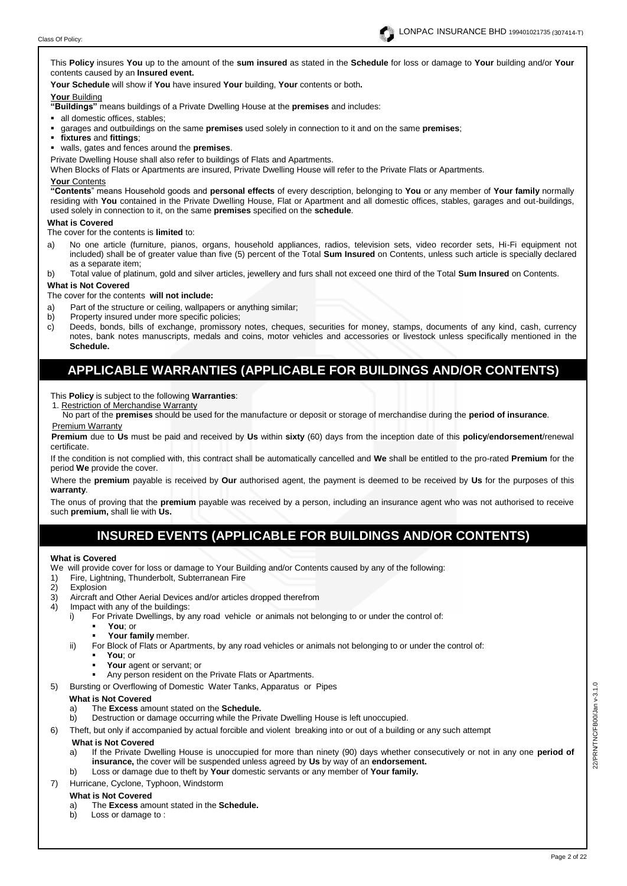

This **Policy** insures **You** up to the amount of the **sum insured** as stated in the **Schedule** for loss or damage to **Your** building and/or **Your**  contents caused by an **Insured event.**

**Your Schedule** will show if **You** have insured **Your** building, **Your** contents or both**.** 

## **Your** Building

**"Buildings"** means buildings of a Private Dwelling House at the **premises** and includes:

- all domestic offices, stables;
- garages and outbuildings on the same **premises** used solely in connection to it and on the same **premises**;
- **fixtures** and **fittings**;
- walls, gates and fences around the **premises**.
- Private Dwelling House shall also refer to buildings of Flats and Apartments.

When Blocks of Flats or Apartments are insured, Private Dwelling House will refer to the Private Flats or Apartments.

#### **Your** Contents

**"Contents**" means Household goods and **personal effects** of every description, belonging to **You** or any member of **Your family** normally residing with **You** contained in the Private Dwelling House, Flat or Apartment and all domestic offices, stables, garages and out-buildings, used solely in connection to it, on the same **premises** specified on the **schedule**.

#### **What is Covered**

The cover for the contents is **limited** to:

- a) No one article (furniture, pianos, organs, household appliances, radios, television sets, video recorder sets, Hi-Fi equipment not included) shall be of greater value than five (5) percent of the Total **Sum Insured** on Contents, unless such article is specially declared as a separate item;
- b) Total value of platinum, gold and silver articles, jewellery and furs shall not exceed one third of the Total **Sum Insured** on Contents.

### **What is Not Covered**

The cover for the contents **will not include:**

- a) Part of the structure or ceiling, wallpapers or anything similar;
- b) Property insured under more specific policies;
- c) Deeds, bonds, bills of exchange, promissory notes, cheques, securities for money, stamps, documents of any kind, cash, currency notes, bank notes manuscripts, medals and coins, motor vehicles and accessories or livestock unless specifically mentioned in the **Schedule.**

# **APPLICABLE WARRANTIES (APPLICABLE FOR BUILDINGS AND/OR CONTENTS)**

This **Policy** is subject to the following **Warranties**:

1. Restriction of Merchandise Warranty

No part of the **premises** should be used for the manufacture or deposit or storage of merchandise during the **period of insurance**. Premium Warranty

**Premium** due to **Us** must be paid and received by **Us** within **sixty** (60) days from the inception date of this **policy**/**endorsement**/renewal certificate.

If the condition is not complied with, this contract shall be automatically cancelled and **We** shall be entitled to the pro-rated **Premium** for the period **We** provide the cover.

Where the **premium** payable is received by **Our** authorised agent, the payment is deemed to be received by **Us** for the purposes of this **warranty**.

The onus of proving that the **premium** payable was received by a person, including an insurance agent who was not authorised to receive such **premium,** shall lie with **Us.**

# **INSURED EVENTS (APPLICABLE FOR BUILDINGS AND/OR CONTENTS)**

#### **What is Covered**

We will provide cover for loss or damage to Your Building and/or Contents caused by any of the following:

- Fire, Lightning, Thunderbolt, Subterranean Fire
- 2) Explosion
- 3) Aircraft and Other Aerial Devices and/or articles dropped therefrom
- 4) Impact with any of the buildings:
	- i) For Private Dwellings, by any road vehicle or animals not belonging to or under the control of:
		- You; or
		- Your family member.
	- ii) For Block of Flats or Apartments, by any road vehicles or animals not belonging to or under the control of:
		- **You**; or
			- Your agent or servant; or
			- Any person resident on the Private Flats or Apartments.
- 5) Bursting or Overflowing of Domestic Water Tanks, Apparatus or Pipes

# **What is Not Covered**

- a) The **Excess** amount stated on the **Schedule.**
- b) Destruction or damage occurring while the Private Dwelling House is left unoccupied.
- 6) Theft, but only if accompanied by actual forcible and violent breaking into or out of a building or any such attempt

#### **What is Not Covered**

- a) If the Private Dwelling House is unoccupied for more than ninety (90) days whether consecutively or not in any one **period of insurance,** the cover will be suspended unless agreed by **Us** by way of an **endorsement.**
- b) Loss or damage due to theft by **Your** domestic servants or any member of **Your family.**
- 7) Hurricane, Cyclone, Typhoon, Windstorm

# **What is Not Covered**

- a) The **Excess** amount stated in the **Schedule.**
- b) Loss or damage to :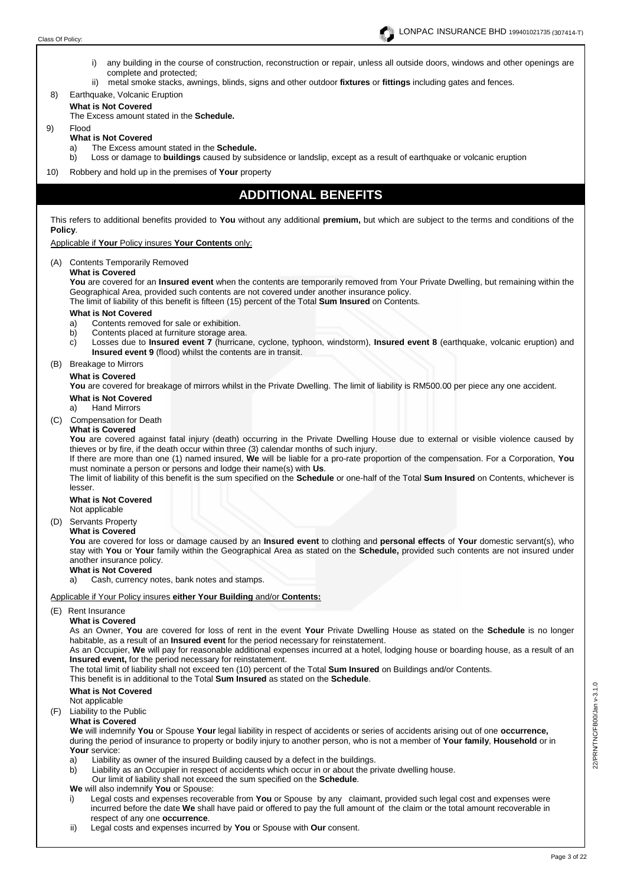

- i) any building in the course of construction, reconstruction or repair, unless all outside doors, windows and other openings are complete and protected;
- ii) metal smoke stacks, awnings, blinds, signs and other outdoor **fixtures** or **fittings** including gates and fences.
- 8) Earthquake, Volcanic Eruption

# **What is Not Covered**

The Excess amount stated in the **Schedule.**

# 9) Flood

# **What is Not Covered**

- a) The Excess amount stated in the **Schedule.**
- b) Loss or damage to **buildings** caused by subsidence or landslip, except as a result of earthquake or volcanic eruption
- 10) Robbery and hold up in the premises of **Your** property

# **ADDITIONAL BENEFITS**

This refers to additional benefits provided to **You** without any additional **premium,** but which are subject to the terms and conditions of the **Policy**.

Applicable if **Your** Policy insures **Your Contents** only:

(A) Contents Temporarily Removed

**What is Covered** 

**You** are covered for an **Insured event** when the contents are temporarily removed from Your Private Dwelling, but remaining within the Geographical Area, provided such contents are not covered under another insurance policy.

The limit of liability of this benefit is fifteen (15) percent of the Total **Sum Insured** on Contents.

### **What is Not Covered**

- a) Contents removed for sale or exhibition.
- b) Contents placed at furniture storage area.<br>c) Losses due to **Insured event 7** (hurrican
- Losses due to **Insured event 7** (hurricane, cyclone, typhoon, windstorm), **Insured event 8** (earthquake, volcanic eruption) and **Insured event 9** (flood) whilst the contents are in transit.

### (B) Breakage to Mirrors

### **What is Covered**

You are covered for breakage of mirrors whilst in the Private Dwelling. The limit of liability is RM500.00 per piece any one accident.

# **What is Not Covered**<br>a) Hand Mirrors

**Hand Mirrors** 

(C) Compensation for Death

# **What is Covered**

**You** are covered against fatal injury (death) occurring in the Private Dwelling House due to external or visible violence caused by thieves or by fire, if the death occur within three (3) calendar months of such injury.

If there are more than one (1) named insured, **We** will be liable for a pro-rate proportion of the compensation. For a Corporation, **You** must nominate a person or persons and lodge their name(s) with **Us**.

The limit of liability of this benefit is the sum specified on the **Schedule** or one-half of the Total **Sum Insured** on Contents, whichever is lesser.

#### **What is Not Covered**

Not applicable

(D) Servants Property

# **What is Covered**

**You** are covered for loss or damage caused by an **Insured event** to clothing and **personal effects** of **Your** domestic servant(s), who stay with **You** or **Your** family within the Geographical Area as stated on the **Schedule,** provided such contents are not insured under another insurance policy.

# **What is Not Covered**

a)Cash, currency notes, bank notes and stamps.

#### Applicable if Your Policy insures **either Your Building** and/or **Contents:**

# (E) Rent Insurance

## **What is Covered**

As an Owner, **You** are covered for loss of rent in the event **Your** Private Dwelling House as stated on the **Schedule** is no longer habitable, as a result of an **Insured event** for the period necessary for reinstatement.

As an Occupier, **We** will pay for reasonable additional expenses incurred at a hotel, lodging house or boarding house, as a result of an **Insured event,** for the period necessary for reinstatement.

The total limit of liability shall not exceed ten (10) percent of the Total **Sum Insured** on Buildings and/or Contents.

# This benefit is in additional to the Total **Sum Insured** as stated on the **Schedule**.

## **What is Not Covered**

Not applicable

(F) Liability to the Public

# **What is Covered**

 **We** will indemnify **You** or Spouse **Your** legal liability in respect of accidents or series of accidents arising out of one **occurrence,** during the period of insurance to property or bodily injury to another person, who is not a member of **Your family**, **Household** or in **Your** service:

- a) Liability as owner of the insured Building caused by a defect in the buildings.
- b) Liability as an Occupier in respect of accidents which occur in or about the private dwelling house.
- Our limit of liability shall not exceed the sum specified on the **Schedule**.
- **We** will also indemnify **You** or Spouse:
- i) Legal costs and expenses recoverable from **You** or Spouse by any claimant, provided such legal cost and expenses were incurred before the date **We** shall have paid or offered to pay the full amount of the claim or the total amount recoverable in respect of any one **occurrence**.
- ii) Legal costs and expenses incurred by **You** or Spouse with **Our** consent.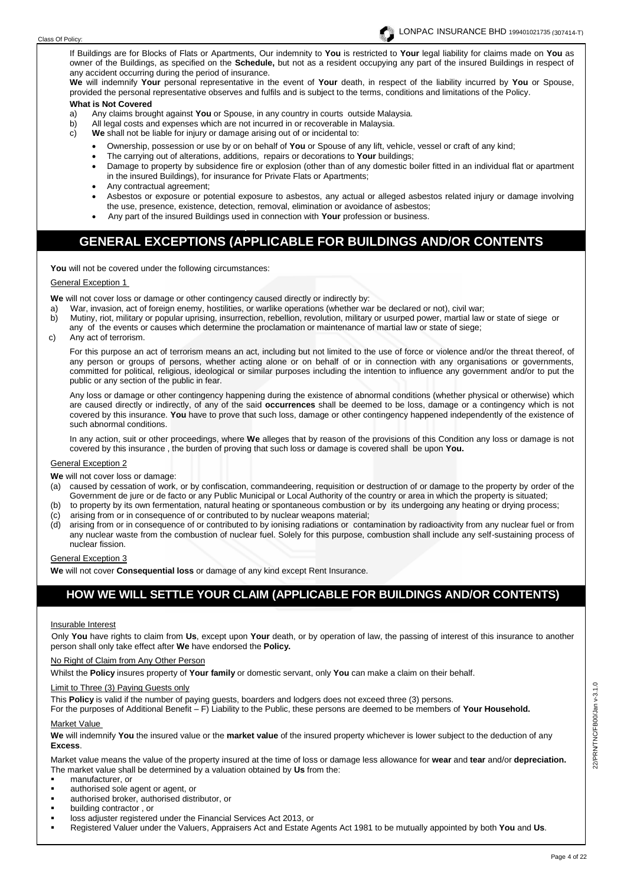

If Buildings are for Blocks of Flats or Apartments, Our indemnity to **You** is restricted to **Your** legal liability for claims made on **You** as owner of the Buildings, as specified on the **Schedule,** but not as a resident occupying any part of the insured Buildings in respect of any accident occurring during the period of insurance.

**We** will indemnify **Your** personal representative in the event of **Your** death, in respect of the liability incurred by **You** or Spouse, provided the personal representative observes and fulfils and is subject to the terms, conditions and limitations of the Policy.

# **What is Not Covered**

- a) Any claims brought against **You** or Spouse, in any country in courts outside Malaysia.
- b) All legal costs and expenses which are not incurred in or recoverable in Malaysia.<br>c) We shall not be liable for injury or damage arising out of or incidental to:
	- We shall not be liable for injury or damage arising out of or incidental to:
		- Ownership, possession or use by or on behalf of **You** or Spouse of any lift, vehicle, vessel or craft of any kind;
		- The carrying out of alterations, additions, repairs or decorations to **Your** buildings;
		- Damage to property by subsidence fire or explosion (other than of any domestic boiler fitted in an individual flat or apartment in the insured Buildings), for insurance for Private Flats or Apartments;
		- Any contractual agreement;
		- Asbestos or exposure or potential exposure to asbestos, any actual or alleged asbestos related injury or damage involving the use, presence, existence, detection, removal, elimination or avoidance of asbestos;
		- Any part of the insured Buildings used in connection with **Your** profession or business.

# **GENERAL EXCEPTIONS (APPLICABLE FOR BUILDINGS AND/OR CONTENTS**

**NERAL EXCEPTIONS (APPLICABLE FOR BUILDINGS AND/OR CONTENTS)**

**You** will not be covered under the following circumstances:

#### **General Exception 1**

**We** will not cover loss or damage or other contingency caused directly or indirectly by:

- a) War, invasion, act of foreign enemy, hostilities, or warlike operations (whether war be declared or not), civil war;
- b) Mutiny, riot, military or popular uprising, insurrection, rebellion, revolution, military or usurped power, martial law or state of siege or
- any of the events or causes which determine the proclamation or maintenance of martial law or state of siege;<br>C) Any act of terrorism
- Any act of terrorism.

For this purpose an act of terrorism means an act, including but not limited to the use of force or violence and/or the threat thereof, of any person or groups of persons, whether acting alone or on behalf of or in connection with any organisations or governments, committed for political, religious, ideological or similar purposes including the intention to influence any government and/or to put the public or any section of the public in fear.

Any loss or damage or other contingency happening during the existence of abnormal conditions (whether physical or otherwise) which are caused directly or indirectly, of any of the said **occurrences** shall be deemed to be loss, damage or a contingency which is not covered by this insurance. **You** have to prove that such loss, damage or other contingency happened independently of the existence of such abnormal conditions.

In any action, suit or other proceedings, where **We** alleges that by reason of the provisions of this Condition any loss or damage is not covered by this insurance , the burden of proving that such loss or damage is covered shall be upon **You.**

#### General Exception 2

**We** will not cover loss or damage:

- (a) caused by cessation of work, or by confiscation, commandeering, requisition or destruction of or damage to the property by order of the Government de jure or de facto or any Public Municipal or Local Authority of the country or area in which the property is situated;
- (b) to property by its own fermentation, natural heating or spontaneous combustion or by its undergoing any heating or drying process;
- (c) arising from or in consequence of or contributed to by nuclear weapons material;
- (d) arising from or in consequence of or contributed to by ionising radiations or contamination by radioactivity from any nuclear fuel or from any nuclear waste from the combustion of nuclear fuel. Solely for this purpose, combustion shall include any self-sustaining process of nuclear fission.

## General Exception 3

**We** will not cover **Consequential loss** or damage of any kind except Rent Insurance.

# **HOW WE WILL SETTLE YOUR CLAIM (APPLICABLE FOR BUILDINGS AND/OR CONTENTS)**

#### Insurable Interest

Only **You** have rights to claim from **Us**, except upon **Your** death, or by operation of law, the passing of interest of this insurance to another person shall only take effect after **We** have endorsed the **Policy.** 

No Right of Claim from Any Other Person

Whilst the **Policy** insures property of **Your family** or domestic servant, only **You** can make a claim on their behalf.

#### Limit to Three (3) Paying Guests only

This **Policy** is valid if the number of paying guests, boarders and lodgers does not exceed three (3) persons.

For the purposes of Additional Benefit – F) Liability to the Public, these persons are deemed to be members of **Your Household.**

# Market Value

**We** will indemnify **You** the insured value or the **market value** of the insured property whichever is lower subject to the deduction of any **Excess**.

Market value means the value of the property insured at the time of loss or damage less allowance for **wear** and **tear** and/or **depreciation.** The market value shall be determined by a valuation obtained by **Us** from the:

- manufacturer, or
- authorised sole agent or agent, or
- authorised broker, authorised distributor, or
- building contractor, or
- loss adjuster registered under the Financial Services Act 2013, or
- Registered Valuer under the Valuers, Appraisers Act and Estate Agents Act 1981 to be mutually appointed by both **You** and **Us**.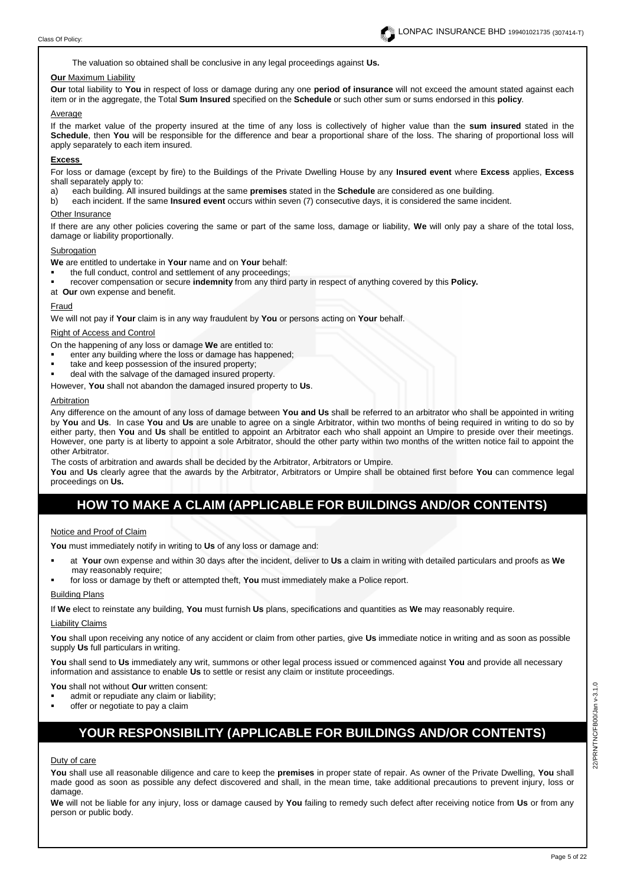The valuation so obtained shall be conclusive in any legal proceedings against **Us.**

#### **Our** Maximum Liability

**Our** total liability to **You** in respect of loss or damage during any one **period of insurance** will not exceed the amount stated against each item or in the aggregate, the Total **Sum Insured** specified on the **Schedule** or such other sum or sums endorsed in this **policy**.

#### Average

If the market value of the property insured at the time of any loss is collectively of higher value than the **sum insured** stated in the **Schedule**, then **You** will be responsible for the difference and bear a proportional share of the loss. The sharing of proportional loss will apply separately to each item insured.

#### **Excess**

For loss or damage (except by fire) to the Buildings of the Private Dwelling House by any **Insured event** where **Excess** applies, **Excess** shall separately apply to:

a) each building. All insured buildings at the same **premises** stated in the **Schedule** are considered as one building.

b) each incident. If the same **Insured event** occurs within seven (7) consecutive days, it is considered the same incident.

#### Other Insurance

If there are any other policies covering the same or part of the same loss, damage or liability, **We** will only pay a share of the total loss, damage or liability proportionally.

#### **Subrogation**

**We** are entitled to undertake in **Your** name and on **Your** behalf:

- the full conduct, control and settlement of any proceedings;
- recover compensation or secure **indemnity** from any third party in respect of anything covered by this **Policy.**
- at **Our** own expense and benefit.

#### Fraud

We will not pay if **Your** claim is in any way fraudulent by **You** or persons acting on **Your** behalf.

#### Right of Access and Control

On the happening of any loss or damage **We** are entitled to:

- enter any building where the loss or damage has happened;
- take and keep possession of the insured property;
- deal with the salvage of the damaged insured property.
- However, **You** shall not abandon the damaged insured property to **Us**.

#### Arbitration

Any difference on the amount of any loss of damage between **You and Us** shall be referred to an arbitrator who shall be appointed in writing by **You** and **Us**. In case **You** and **Us** are unable to agree on a single Arbitrator, within two months of being required in writing to do so by either party, then **You** and **Us** shall be entitled to appoint an Arbitrator each who shall appoint an Umpire to preside over their meetings. However, one party is at liberty to appoint a sole Arbitrator, should the other party within two months of the written notice fail to appoint the other Arbitrator.

The costs of arbitration and awards shall be decided by the Arbitrator, Arbitrators or Umpire.

**You** and **Us** clearly agree that the awards by the Arbitrator, Arbitrators or Umpire shall be obtained first before **You** can commence legal proceedings on **Us.**

# **HOW TO MAKE A CLAIM (APPLICABLE FOR BUILDINGS AND/OR CONTENTS)**

#### Notice and Proof of Claim

**You** must immediately notify in writing to **Us** of any loss or damage and:

- at **Your** own expense and within 30 days after the incident, deliver to **Us** a claim in writing with detailed particulars and proofs as **We** may reasonably require:
- for loss or damage by theft or attempted theft, **You** must immediately make a Police report.

### Building Plans

If **We** elect to reinstate any building, **You** must furnish **Us** plans, specifications and quantities as **We** may reasonably require.

#### Liability Claims

**You** shall upon receiving any notice of any accident or claim from other parties, give **Us** immediate notice in writing and as soon as possible supply **Us** full particulars in writing.

**You** shall send to **Us** immediately any writ, summons or other legal process issued or commenced against **You** and provide all necessary information and assistance to enable **Us** to settle or resist any claim or institute proceedings.

**You** shall not without **Our** written consent:

- admit or repudiate any claim or liability;
- offer or negotiate to pay a claim

# **YOUR RESPONSIBILITY (APPLICABLE FOR BUILDINGS AND/OR CONTENTS)**

Duty of care

**You** shall use all reasonable diligence and care to keep the **premises** in proper state of repair. As owner of the Private Dwelling, **You** shall made good as soon as possible any defect discovered and shall, in the mean time, take additional precautions to prevent injury, loss or damage.

**We** will not be liable for any injury, loss or damage caused by **You** failing to remedy such defect after receiving notice from **Us** or from any person or public body.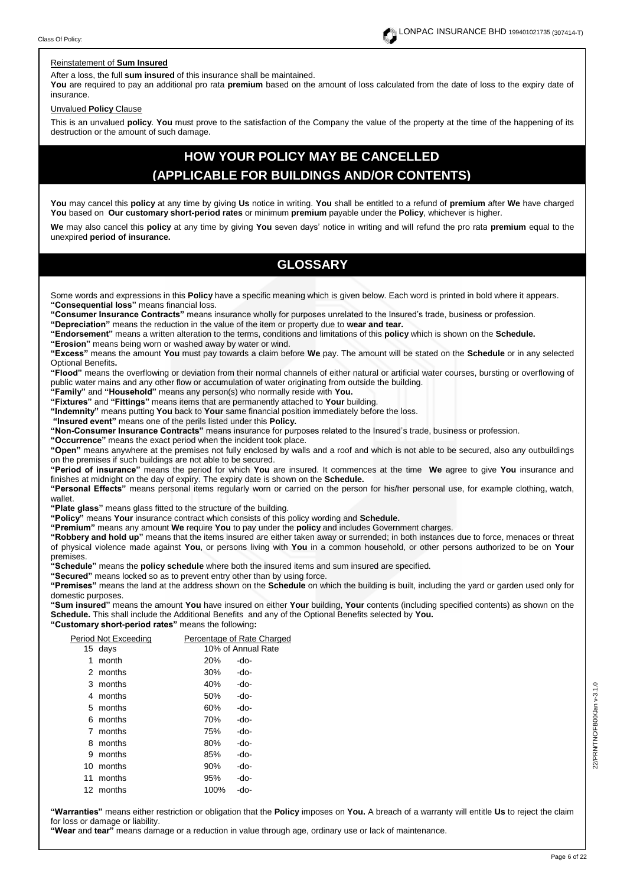#### Reinstatement of **Sum Insured**

After a loss, the full **sum insured** of this insurance shall be maintained.

**You** are required to pay an additional pro rata **premium** based on the amount of loss calculated from the date of loss to the expiry date of insurance.

#### Unvalued **Policy** Clause

This is an unvalued **policy**. **You** must prove to the satisfaction of the Company the value of the property at the time of the happening of its destruction or the amount of such damage.

# **HOW YOUR POLICY MAY BE CANCELLED (APPLICABLE FOR BUILDINGS AND/OR CONTENTS)**

**You** may cancel this **policy** at any time by giving **Us** notice in writing. **You** shall be entitled to a refund of **premium** after **We** have charged **You** based on **Our customary short-period rates** or minimum **premium** payable under the **Policy**, whichever is higher.

**We** may also cancel this **policy** at any time by giving **You** seven days' notice in writing and will refund the pro rata **premium** equal to the unexpired **period of insurance.** 

# **GLOSSARY**

Some words and expressions in this **Policy** have a specific meaning which is given below. Each word is printed in bold where it appears. **"Consequential loss"** means financial loss.

**"Consumer Insurance Contracts"** means insurance wholly for purposes unrelated to the Insured's trade, business or profession.

**"Depreciation"** means the reduction in the value of the item or property due to **wear and tear.**

**"Endorsement"** means a written alteration to the terms, conditions and limitations of this **policy** which is shown on the **Schedule.**

**"Erosion"** means being worn or washed away by water or wind.

**"Excess"** means the amount **You** must pay towards a claim before **We** pay. The amount will be stated on the **Schedule** or in any selected Optional Benefits**.**

**"Flood"** means the overflowing or deviation from their normal channels of either natural or artificial water courses, bursting or overflowing of public water mains and any other flow or accumulation of water originating from outside the building.

**"Family"** and **"Household"** means any person(s) who normally reside with **You.** 

**"Fixtures"** and **"Fittings"** means items that are permanently attached to **Your** building. **"Indemnity"** means putting **You** back to **Your** same financial position immediately before the loss.

**"Insured event"** means one of the perils listed under this **Policy.**

**"Non-Consumer Insurance Contracts"** means insurance for purposes related to the Insured's trade, business or profession.

**"Occurrence"** means the exact period when the incident took place.

**"Open"** means anywhere at the premises not fully enclosed by walls and a roof and which is not able to be secured, also any outbuildings on the premises if such buildings are not able to be secured.

**"Period of insurance"** means the period for which **You** are insured. It commences at the time **We** agree to give **You** insurance and finishes at midnight on the day of expiry. The expiry date is shown on the **Schedule.**

**"Personal Effects"** means personal items regularly worn or carried on the person for his/her personal use, for example clothing, watch, wallet.

**"Plate glass"** means glass fitted to the structure of the building.

**"Policy"** means **Your** insurance contract which consists of this policy wording and **Schedule.**

**"Premium"** means any amount **We** require **You** to pay under the **policy** and includes Government charges.

**"Robbery and hold up"** means that the items insured are either taken away or surrended; in both instances due to force, menaces or threat of physical violence made against **You**, or persons living with **You** in a common household, or other persons authorized to be on **Your** premises.

**"Schedule"** means the **policy schedule** where both the insured items and sum insured are specified.

**"Secured"** means locked so as to prevent entry other than by using force.

**"Premises"** means the land at the address shown on the **Schedule** on which the building is built, including the yard or garden used only for domestic purposes.

**"Sum insured"** means the amount **You** have insured on either **Your** building, **Your** contents (including specified contents) as shown on the **Schedule.** This shall include the Additional Benefits and any of the Optional Benefits selected by **You. "Customary short-period rates"** means the following**:**

|   | Period Not Exceeding |      | Percentage of Rate Charged |
|---|----------------------|------|----------------------------|
|   | 15 days              |      | 10% of Annual Rate         |
| 1 | month                | 20%  | -do-                       |
|   | 2 months             | 30%  | -do-                       |
|   | 3 months             | 40%  | -do-                       |
|   | 4 months             | 50%  | -do-                       |
|   | 5 months             | 60%  | -do-                       |
|   | 6 months             | 70%  | -do-                       |
|   | 7 months             | 75%  | -do-                       |
|   | 8 months             | 80%  | -do-                       |
|   | 9 months             | 85%  | -do-                       |
|   | 10 months            | 90%  | -do-                       |
|   | 11 months            | 95%  | -do-                       |
|   | 12 months            | 100% | -do-                       |
|   |                      |      |                            |

**"Warranties"** means either restriction or obligation that the **Policy** imposes on **You.** A breach of a warranty will entitle **Us** to reject the claim for loss or damage or liability.

**"Wear** and **tear"** means damage or a reduction in value through age, ordinary use or lack of maintenance.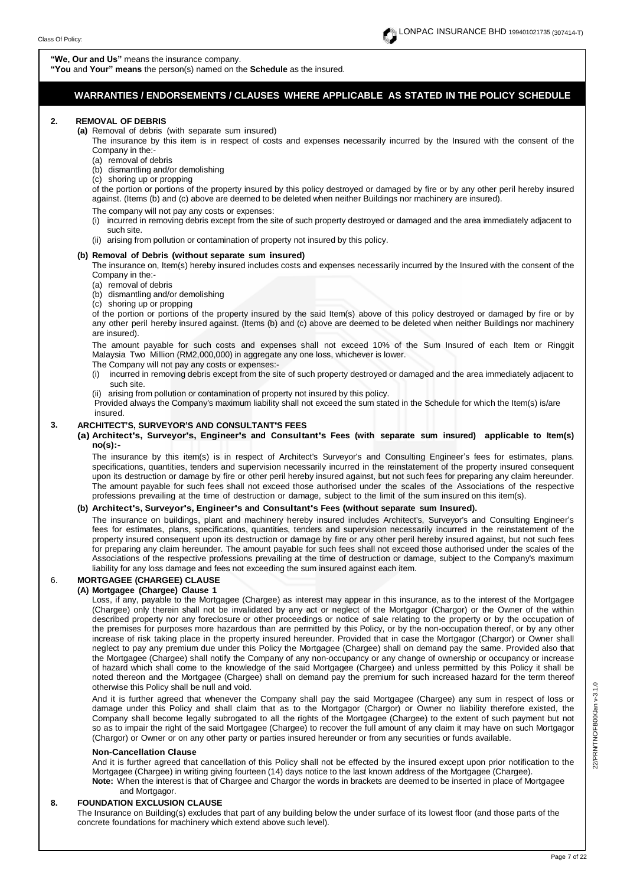**"You** and **Your" means** the person(s) named on the **Schedule** as the insured.

# **WARRANTIES / ENDORSEMENTS / CLAUSES WHERE APPLICABLE AS STATED IN THE POLICY SCHEDULE**

#### **2. REMOVAL OF DEBRIS**

**(a)** Removal of debris (with separate sum insured)

The insurance by this item is in respect of costs and expenses necessarily incurred by the Insured with the consent of the Company in the:-

- (a) removal of debris
- (b) dismantling and/or demolishing
- (c) shoring up or propping

of the portion or portions of the property insured by this policy destroyed or damaged by fire or by any other peril hereby insured against. (Items (b) and (c) above are deemed to be deleted when neither Buildings nor machinery are insured).

#### The company will not pay any costs or expenses:

- (i) incurred in removing debris except from the site of such property destroyed or damaged and the area immediately adjacent to such site.
- (ii) arising from pollution or contamination of property not insured by this policy.

#### **(b) Removal of Debris (without separate sum insured)**

The insurance on, Item(s) hereby insured includes costs and expenses necessarily incurred by the Insured with the consent of the Company in the:-

(a) removal of debris

(b) dismantling and/or demolishing

(c) shoring up or propping

of the portion or portions of the property insured by the said Item(s) above of this policy destroyed or damaged by fire or by any other peril hereby insured against. (Items (b) and (c) above are deemed to be deleted when neither Buildings nor machinery are insured).

The amount payable for such costs and expenses shall not exceed 10% of the Sum Insured of each Item or Ringgit Malaysia Two Million (RM2,000,000) in aggregate any one loss, whichever is lower.

- The Company will not pay any costs or expenses:-
- (i) incurred in removing debris except from the site of such property destroyed or damaged and the area immediately adjacent to such site.
- (ii) arising from pollution or contamination of property not insured by this policy.
- Provided always the Company's maximum liability shall not exceed the sum stated in the Schedule for which the Item(s) is/are insured.

## **3. ARCHITECT'S, SURVEYOR'S AND CONSULTANT'S FEES**

#### **(a) Architect's, Surveyor's, Engineer's and Consultant's Fees (with separate sum insured) applicable to Item(s) no(s):-**

The insurance by this item(s) is in respect of Architect's Surveyor's and Consulting Engineer's fees for estimates, plans. specifications, quantities, tenders and supervision necessarily incurred in the reinstatement of the property insured consequent upon its destruction or damage by fire or other peril hereby insured against, but not such fees for preparing any claim hereunder. The amount payable for such fees shall not exceed those authorised under the scales of the Associations of the respective professions prevailing at the time of destruction or damage, subject to the limit of the sum insured on this item(s).

#### **(b) Architect's, Surveyor's, Engineer's and Consultant's Fees (without separate sum Insured).**

The insurance on buildings, plant and machinery hereby insured includes Architect's, Surveyor's and Consulting Engineer's fees for estimates, plans, specifications, quantities, tenders and supervision necessarily incurred in the reinstatement of the property insured consequent upon its destruction or damage by fire or any other peril hereby insured against, but not such fees for preparing any claim hereunder. The amount payable for such fees shall not exceed those authorised under the scales of the Associations of the respective professions prevailing at the time of destruction or damage, subject to the Company's maximum liability for any loss damage and fees not exceeding the sum insured against each item.

# 6. **MORTGAGEE (CHARGEE) CLAUSE**

#### **(A) Mortgagee (Chargee) Clause 1**

Loss, if any, payable to the Mortgagee (Chargee) as interest may appear in this insurance, as to the interest of the Mortgagee (Chargee) only therein shall not be invalidated by any act or neglect of the Mortgagor (Chargor) or the Owner of the within described property nor any foreclosure or other proceedings or notice of sale relating to the property or by the occupation of the premises for purposes more hazardous than are permitted by this Policy, or by the non-occupation thereof, or by any other increase of risk taking place in the property insured hereunder. Provided that in case the Mortgagor (Chargor) or Owner shall neglect to pay any premium due under this Policy the Mortgagee (Chargee) shall on demand pay the same. Provided also that the Mortgagee (Chargee) shall notify the Company of any non-occupancy or any change of ownership or occupancy or increase of hazard which shall come to the knowledge of the said Mortgagee (Chargee) and unless permitted by this Policy it shall be noted thereon and the Mortgagee (Chargee) shall on demand pay the premium for such increased hazard for the term thereof otherwise this Policy shall be null and void.

And it is further agreed that whenever the Company shall pay the said Mortgagee (Chargee) any sum in respect of loss or damage under this Policy and shall claim that as to the Mortgagor (Chargor) or Owner no liability therefore existed, the Company shall become legally subrogated to all the rights of the Mortgagee (Chargee) to the extent of such payment but not so as to impair the right of the said Mortgagee (Chargee) to recover the full amount of any claim it may have on such Mortgagor (Chargor) or Owner or on any other party or parties insured hereunder or from any securities or funds available.

#### **Non-Cancellation Clause**

And it is further agreed that cancellation of this Policy shall not be effected by the insured except upon prior notification to the Mortgagee (Chargee) in writing giving fourteen (14) days notice to the last known address of the Mortgagee (Chargee). **Note:** When the interest is that of Chargee and Chargor the words in brackets are deemed to be inserted in place of Mortgagee and Mortgagor.

#### **8. FOUNDATION EXCLUSION CLAUSE**

The Insurance on Building(s) excludes that part of any building below the under surface of its lowest floor (and those parts of the concrete foundations for machinery which extend above such level).

22/PRN/TNC/FB00/Jan v-3.1.0 22/PRN/TNC/FB00/Jan v-3.1.0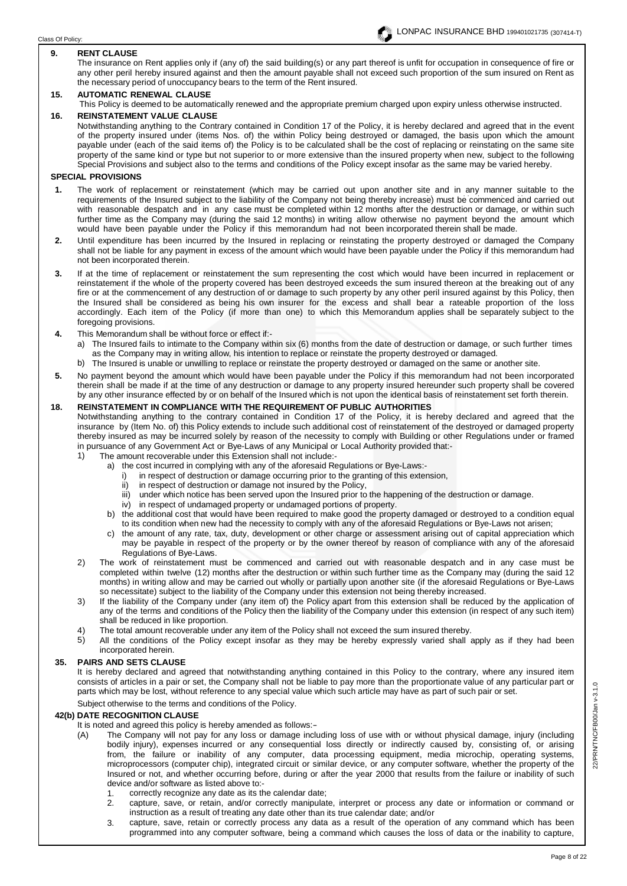## **9. RENT CLAUSE**

The insurance on Rent applies only if (any of) the said building(s) or any part thereof is unfit for occupation in consequence of fire or any other peril hereby insured against and then the amount payable shall not exceed such proportion of the sum insured on Rent as the necessary period of unoccupancy bears to the term of the Rent insured.

## **15. AUTOMATIC RENEWAL CLAUSE**

This Policy is deemed to be automatically renewed and the appropriate premium charged upon expiry unless otherwise instructed. **16. REINSTATEMENT VALUE CLAUSE**

Notwithstanding anything to the Contrary contained in Condition 17 of the Policy, it is hereby declared and agreed that in the event of the property insured under (items Nos. of) the within Policy being destroyed or damaged, the basis upon which the amount payable under (each of the said items of) the Policy is to be calculated shall be the cost of replacing or reinstating on the same site property of the same kind or type but not superior to or more extensive than the insured property when new, subject to the following Special Provisions and subject also to the terms and conditions of the Policy except insofar as the same may be varied hereby.

### **SPECIAL PROVISIONS**

- requirements of the Insured subject to the liability of the Company not being thereby increase) must be commenced and carried out **1.** The work of replacement or reinstatement (which may be carried out upon another site and in any manner suitable to the with reasonable despatch and in any case must be completed within 12 months after the destruction or damage, or within such further time as the Company may (during the said 12 months) in writing allow otherwise no payment beyond the amount which would have been payable under the Policy if this memorandum had not been incorporated therein shall be made.
- **2.** Until expenditure has been incurred by the Insured in replacing or reinstating the property destroyed or damaged the Company shall not be liable for any payment in excess of the amount which would have been payable under the Policy if this memorandum had not been incorporated therein.
- **3.** If at the time of replacement or reinstatement the sum representing the cost which would have been incurred in replacement or reinstatement if the whole of the property covered has been destroyed exceeds the sum insured thereon at the breaking out of any fire or at the commencement of any destruction of or damage to such property by any other peril insured against by this Policy, then the Insured shall be considered as being his own insurer for the excess and shall bear a rateable proportion of the loss accordingly. Each item of the Policy (if more than one) to which this Memorandum applies shall be separately subject to the foregoing provisions.
- **4.** This Memorandum shall be without force or effect if:
	- a) The Insured fails to intimate to the Company within six (6) months from the date of destruction or damage, or such further times as the Company may in writing allow, his intention to replace or reinstate the property destroyed or damaged.
	- b) The Insured is unable or unwilling to replace or reinstate the property destroyed or damaged on the same or another site.
- **5.** No payment beyond the amount which would have been payable under the Policy if this memorandum had not been incorporated therein shall be made if at the time of any destruction or damage to any property insured hereunder such property shall be covered by any other insurance effected by or on behalf of the Insured which is not upon the identical basis of reinstatement set forth therein.

# **18. REINSTATEMENT IN COMPLIANCE WITH THE REQUIREMENT OF PUBLIC AUTHORITIES**

Notwithstanding anything to the contrary contained in Condition 17 of the Policy, it is hereby declared and agreed that the insurance by (Item No. of) this Policy extends to include such additional cost of reinstatement of the destroyed or damaged property thereby insured as may be incurred solely by reason of the necessity to comply with Building or other Regulations under or framed in pursuance of any Government Act or Bye-Laws of any Municipal or Local Authority provided that:-

- 1) The amount recoverable under this Extension shall not include:
	- the cost incurred in complying with any of the aforesaid Regulations or Bye-Laws:<br>i) in respect of destruction or damage occurring prior to the granting of this exter
	- in respect of destruction or damage occurring prior to the granting of this extension,
	- ii) in respect of destruction or damage not insured by the Policy,
	- iii) under which notice has been served upon the Insured prior to the happening of the destruction or damage.
	- iv) in respect of undamaged property or undamaged portions of property.
	- b) the additional cost that would have been required to make good the property damaged or destroyed to a condition equal to its condition when new had the necessity to comply with any of the aforesaid Regulations or Bye-Laws not arisen;
	- c) the amount of any rate, tax, duty, development or other charge or assessment arising out of capital appreciation which may be payable in respect of the property or by the owner thereof by reason of compliance with any of the aforesaid Regulations of Bye-Laws.
- 2) The work of reinstatement must be commenced and carried out with reasonable despatch and in any case must be completed within twelve (12) months after the destruction or within such further time as the Company may (during the said 12 months) in writing allow and may be carried out wholly or partially upon another site (if the aforesaid Regulations or Bye-Laws so necessitate) subject to the liability of the Company under this extension not being thereby increased.
- 3) If the liability of the Company under (any item of) the Policy apart from this extension shall be reduced by the application of any of the terms and conditions of the Policy then the liability of the Company under this extension (in respect of any such item) shall be reduced in like proportion.
- 4) The total amount recoverable under any item of the Policy shall not exceed the sum insured thereby.<br>5) All the conditions of the Policy except insofar as they may be hereby expressly varied shall a
- All the conditions of the Policy except insofar as they may be hereby expressly varied shall apply as if they had been incorporated herein.

# **35. PAIRS AND SETS CLAUSE**

It is hereby declared and agreed that notwithstanding anything contained in this Policy to the contrary, where any insured item consists of articles in a pair or set, the Company shall not be liable to pay more than the proportionate value of any particular part or parts which may be lost, without reference to any special value which such article may have as part of such pair or set.

Subject otherwise to the terms and conditions of the Policy.

# **42(b) DATE RECOGNITION CLAUSE**

- It is noted and agreed this policy is hereby amended as follows:<br>(A) The Company will not pay for any loss or damage inclu
	- The Company will not pay for any loss or damage including loss of use with or without physical damage, injury (including bodily injury), expenses incurred or any consequential loss directly or indirectly caused by, consisting of, or arising from, the failure or inability of any computer, data processing equipment, media microchip, operating systems, microprocessors (computer chip), integrated circuit or similar device, or any computer software, whether the property of the Insured or not, and whether occurring before, during or after the year 2000 that results from the failure or inability of such device and/or software as listed above to:-
		- 1. correctly recognize any date as its the calendar date;
		- 2. capture, save, or retain, and/or correctly manipulate, interpret or process any date or information or command or instruction as a result of treating any date other than its true calendar date; and/or
		- 3. capture, save, retain or correctly process any data as a result of the operation of any command which has been programmed into any computer software, being a command which causes the loss of data or the inability to capture,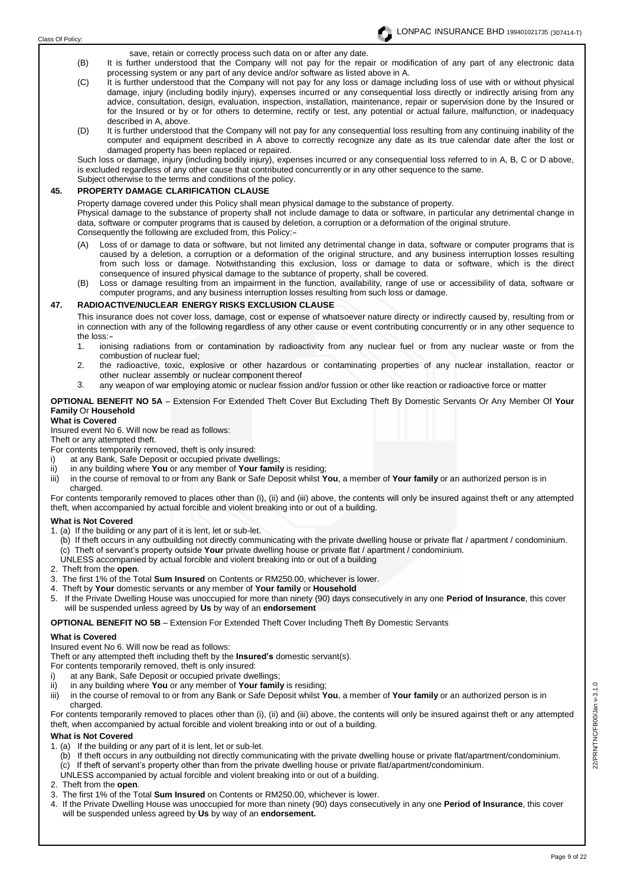save, retain or correctly process such data on or after any date.

- (B) It is further understood that the Company will not pay for the repair or modification of any part of any electronic data processing system or any part of any device and/or software as listed above in A.
- (C) It is further understood that the Company will not pay for any loss or damage including loss of use with or without physical damage, injury (including bodily injury), expenses incurred or any consequential loss directly or indirectly arising from any advice, consultation, design, evaluation, inspection, installation, maintenance, repair or supervision done by the Insured or for the Insured or by or for others to determine, rectify or test, any potential or actual failure, malfunction, or inadequacy described in A, above.
- (D) It is further understood that the Company will not pay for any consequential loss resulting from any continuing inability of the computer and equipment described in A above to correctly recognize any date as its true calendar date after the lost or damaged property has been replaced or repaired.

Such loss or damage, injury (including bodily injury), expenses incurred or any consequential loss referred to in A, B, C or D above, is excluded regardless of any other cause that contributed concurrently or in any other sequence to the same. Subject otherwise to the terms and conditions of the policy.

## **45. PROPERTY DAMAGE CLARIFICATION CLAUSE**

Property damage covered under this Policy shall mean physical damage to the substance of property. Physical damage to the substance of property shall not include damage to data or software, in particular any detrimental change in data, software or computer programs that is caused by deletion, a corruption or a deformation of the original struture. Consequently the following are excluded from, this Policy:-

- (A) Loss of or damage to data or software, but not limited any detrimental change in data, software or computer programs that is caused by a deletion, a corruption or a deformation of the original structure, and any business interruption losses resulting from such loss or damage. Notwithstanding this exclusion, loss or damage to data or software, which is the direct consequence of insured physical damage to the subtance of property, shall be covered.
- (B) Loss or damage resulting from an impairment in the function, availability, range of use or accessibility of data, software or computer programs, and any business interruption losses resulting from such loss or damage.

# **47. RADIOACTIVE/NUCLEAR ENERGY RISKS EXCLUSION CLAUSE**

This insurance does not cover loss, damage, cost or expense of whatsoever nature directy or indirectly caused by, resulting from or in connection with any of the following regardless of any other cause or event contributing concurrently or in any other sequence to the loss:-

- 1. ionising radiations from or contamination by radioactivity from any nuclear fuel or from any nuclear waste or from the combustion of nuclear fuel;
- 2. the radioactive, toxic, explosive or other hazardous or contaminating properties of any nuclear installation, reactor or other nuclear assembly or nuclear component thereof
- 3. any weapon of war employing atomic or nuclear fission and/or fussion or other like reaction or radioactive force or matter

## **OPTIONAL BENEFIT NO 5A** – Extension For Extended Theft Cover But Excluding Theft By Domestic Servants Or Any Member Of **Your Family** Or **Household**

### **What is Covered**

Insured event No 6. Will now be read as follows:

Theft or any attempted theft.

- For contents temporarily removed, theft is only insured:
	- at any Bank, Safe Deposit or occupied private dwellings;
- 
- ii) in any building where **You** or any member of **Your family** is residing;<br>iii) in the course of removal to or from any Bank or Safe Deposit whilst **Y** in the course of removal to or from any Bank or Safe Deposit whilst You, a member of Your family or an authorized person is in charged.

For contents temporarily removed to places other than (i), (ii) and (iii) above, the contents will only be insured against theft or any attempted theft, when accompanied by actual forcible and violent breaking into or out of a building.

#### **What is Not Covered**

- 1. (a) If the building or any part of it is lent, let or sub-let.
	- (b) If theft occurs in any outbuilding not directly communicating with the private dwelling house or private flat / apartment / condominium. (c) Theft of servant's property outside **Your** private dwelling house or private flat / apartment / condominium.
- UNLESS accompanied by actual forcible and violent breaking into or out of a building
- 2. Theft from the **open**.
- 3. The first 1% of the Total **Sum Insured** on Contents or RM250.00, whichever is lower.
- 4. Theft by **Your** domestic servants or any member of **Your family** or **Household**
- 5. If the Private Dwelling House was unoccupied for more than ninety (90) days consecutively in any one **Period of Insurance**, this cover will be suspended unless agreed by **Us** by way of an **endorsement**

**OPTIONAL BENEFIT NO 5B** – Extension For Extended Theft Cover Including Theft By Domestic Servants

# **What is Covered**

Insured event No 6. Will now be read as follows:

Theft or any attempted theft including theft by the **Insured's** domestic servant(s).

For contents temporarily removed, theft is only insured:

- at any Bank, Safe Deposit or occupied private dwellings;
- ii) in any building where **You** or any member of **Your family** is residing;

iii) in the course of removal to or from any Bank or Safe Deposit whilst **You**, a member of **Your family** or an authorized person is in charged.

For contents temporarily removed to places other than (i), (ii) and (iii) above, the contents will only be insured against theft or any attempted theft, when accompanied by actual forcible and violent breaking into or out of a building.

# **What is Not Covered**

- 1. (a) If the building or any part of it is lent, let or sub-let.
	- (b) If theft occurs in any outbuilding not directly communicating with the private dwelling house or private flat/apartment/condominium. (c) If theft of servant's property other than from the private dwelling house or private flat/apartment/condominium.
- UNLESS accompanied by actual forcible and violent breaking into or out of a building.
- 2. Theft from the **open**.
- 3. The first 1% of the Total **Sum Insured** on Contents or RM250.00, whichever is lower.
- 4. If the Private Dwelling House was unoccupied for more than ninety (90) days consecutively in any one **Period of Insurance**, this cover will be suspended unless agreed by **Us** by way of an **endorsement.**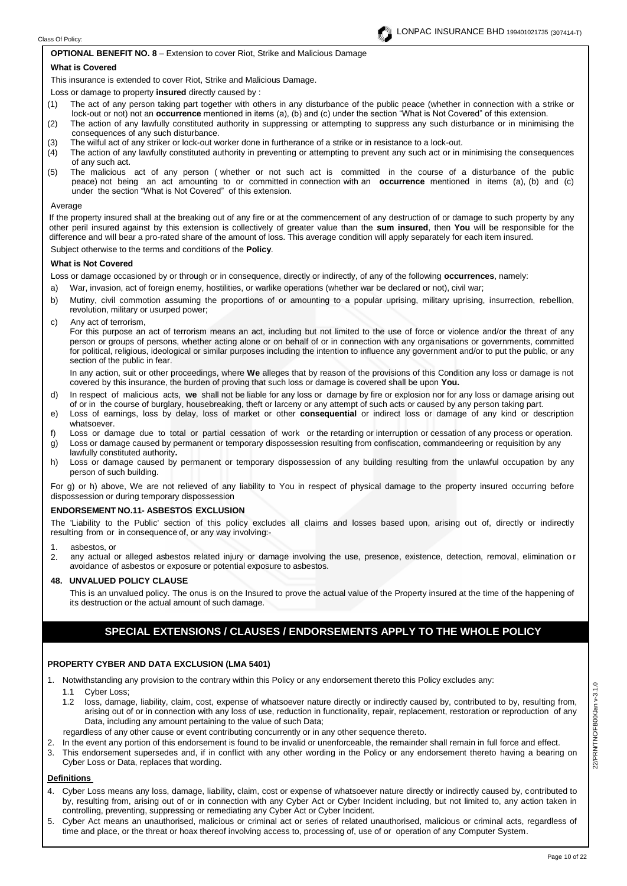### **OPTIONAL BENEFIT NO. 8** – Extension to cover Riot, Strike and Malicious Damage

#### **What is Covered**

This insurance is extended to cover Riot, Strike and Malicious Damage.

Loss or damage to property **insured** directly caused by :

- (1) The act of any person taking part together with others in any disturbance of the public peace (whether in connection with a strike or lock-out or not) not an **occurrence** mentioned in items (a), (b) and (c) under the section "What is Not Covered" of this extension.
- (2) The action of any lawfully constituted authority in suppressing or attempting to suppress any such disturbance or in minimising the consequences of any such disturbance.
- (3) The wilful act of any striker or lock-out worker done in furtherance of a strike or in resistance to a lock-out.
- (4) The action of any lawfully constituted authority in preventing or attempting to prevent any such act or in minimising the consequences of any such act.
- (5) The malicious act of any person ( whether or not such act is committed in the course of a disturbance of the public peace) not being an act amounting to or committed in connection with an **occurrence** mentioned in items (a), (b) and (c) under the section "What is Not Covered" of this extension.

#### Average

If the property insured shall at the breaking out of any fire or at the commencement of any destruction of or damage to such property by any other peril insured against by this extension is collectively of greater value than the **sum insured**, then **You** will be responsible for the difference and will bear a pro-rated share of the amount of loss. This average condition will apply separately for each item insured. Subject otherwise to the terms and conditions of the **Policy**.

#### **What is Not Covered**

Loss or damage occasioned by or through or in consequence, directly or indirectly, of any of the following **occurrences**, namely:

- a) War, invasion, act of foreign enemy, hostilities, or warlike operations (whether war be declared or not), civil war;
- b) Mutiny, civil commotion assuming the proportions of or amounting to a popular uprising, military uprising, insurrection, rebellion, revolution, military or usurped power;
- c) Any act of terrorism,

For this purpose an act of terrorism means an act, including but not limited to the use of force or violence and/or the threat of any person or groups of persons, whether acting alone or on behalf of or in connection with any organisations or governments, committed for political, religious, ideological or similar purposes including the intention to influence any government and/or to put the public, or any section of the public in fear.

In any action, suit or other proceedings, where **We** alleges that by reason of the provisions of this Condition any loss or damage is not covered by this insurance, the burden of proving that such loss or damage is covered shall be upon **You.**

- d) In respect of malicious acts, **we** shall not be liable for any loss or damage by fire or explosion nor for any loss or damage arising out of or in the course of burglary, housebreaking, theft or larceny or any attempt of such acts or caused by any person taking part.
- e) Loss of earnings, loss by delay, loss of market or other **consequential** or indirect loss or damage of any kind or description whatsoever.
- f) Loss or damage due to total or partial cessation of work or the retarding or interruption or cessation of any process or operation.
- g) Loss or damage caused by permanent or temporary dispossession resulting from confiscation, commandeering or requisition by any lawfully constituted authority**.**
- h) Loss or damage caused by permanent or temporary dispossession of any building resulting from the unlawful occupation by any person of such building.

For g) or h) above, We are not relieved of any liability to You in respect of physical damage to the property insured occurring before dispossession or during temporary dispossession

# **ENDORSEMENT NO.11- ASBESTOS EXCLUSION**

The 'Liability to the Public' section of this policy excludes all claims and losses based upon, arising out of, directly or indirectly resulting from or in consequence of, or any way involving:-

- 1. asbestos, or
- 2. any actual or alleged asbestos related injury or damage involving the use, presence, existence, detection, removal, elimination o r avoidance of asbestos or exposure or potential exposure to asbestos.

# **48. UNVALUED POLICY CLAUSE**

This is an unvalued policy. The onus is on the Insured to prove the actual value of the Property insured at the time of the happening of its destruction or the actual amount of such damage.

# **SPECIAL EXTENSIONS / CLAUSES / ENDORSEMENTS APPLY TO THE WHOLE POLICY**

# **PROPERTY CYBER AND DATA EXCLUSION (LMA 5401)**

1. Notwithstanding any provision to the contrary within this Policy or any endorsement thereto this Policy excludes any:

1.1 Cyber Loss;

- 1.2 loss, damage, liability, claim, cost, expense of whatsoever nature directly or indirectly caused by, contributed to by, resulting from, arising out of or in connection with any loss of use, reduction in functionality, repair, replacement, restoration or reproduction of any Data, including any amount pertaining to the value of such Data;
- regardless of any other cause or event contributing concurrently or in any other sequence thereto.
- 2. In the event any portion of this endorsement is found to be invalid or unenforceable, the remainder shall remain in full force and effect.
- 3. This endorsement supersedes and, if in conflict with any other wording in the Policy or any endorsement thereto having a bearing on Cyber Loss or Data, replaces that wording.

# **Definitions**

- 4. Cyber Loss means any loss, damage, liability, claim, cost or expense of whatsoever nature directly or indirectly caused by, contributed to by, resulting from, arising out of or in connection with any Cyber Act or Cyber Incident including, but not limited to, any action taken in controlling, preventing, suppressing or remediating any Cyber Act or Cyber Incident.
- 5. Cyber Act means an unauthorised, malicious or criminal act or series of related unauthorised, malicious or criminal acts, regardless of time and place, or the threat or hoax thereof involving access to, processing of, use of or operation of any Computer System.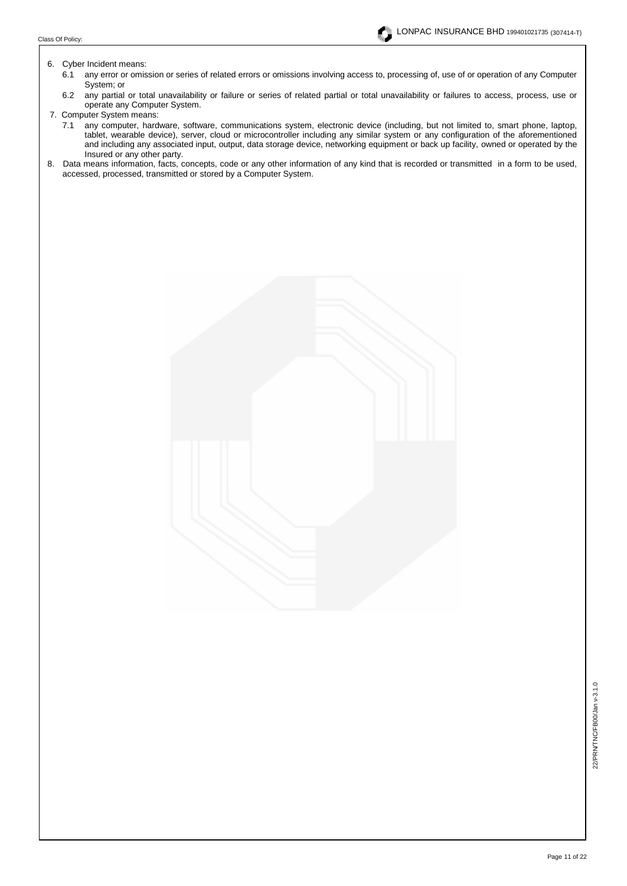#### 6. Cyber Incident means:

- 6.1 any error or omission or series of related errors or omissions involving access to, processing of, use of or operation of any Computer System; or
- 6.2 any partial or total unavailability or failure or series of related partial or total unavailability or failures to access, process, use or operate any Computer System.
- 7. Computer System means:
	- 7.1 any computer, hardware, software, communications system, electronic device (including, but not limited to, smart phone, laptop, tablet, wearable device), server, cloud or microcontroller including any similar system or any configuration of the aforementioned and including any associated input, output, data storage device, networking equipment or back up facility, owned or operated by the Insured or any other party.
- 8. Data means information, facts, concepts, code or any other information of any kind that is recorded or transmitted in a form to be used, accessed, processed, transmitted or stored by a Computer System.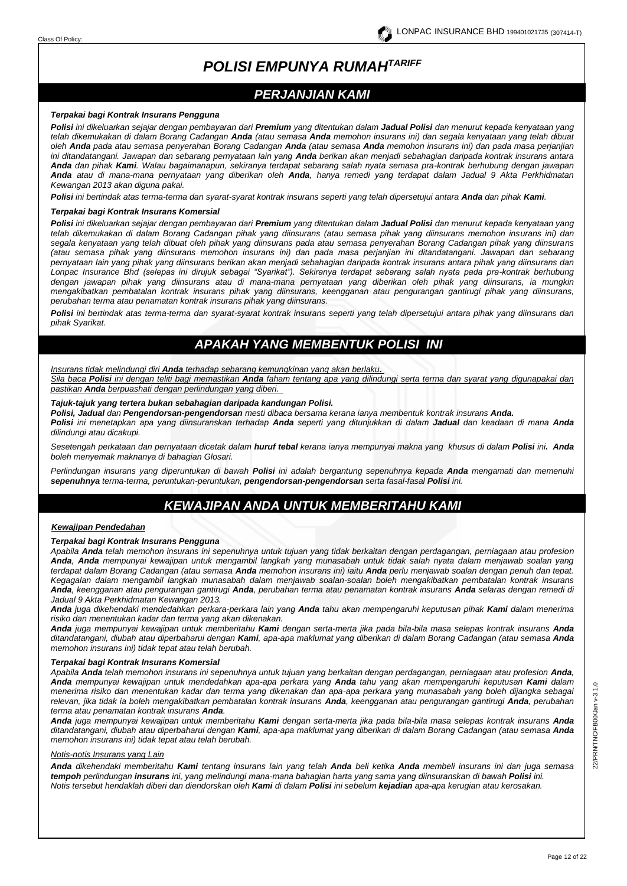# *POLISI EMPUNYA RUMAHTARIFF*

# *PERJANJIAN KAMI*

#### *Terpakai bagi Kontrak Insurans Pengguna*

*Polisi ini dikeluarkan sejajar dengan pembayaran dari Premium yang ditentukan dalam Jadual Polisi dan menurut kepada kenyataan yang telah dikemukakan di dalam Borang Cadangan Anda (atau semasa Anda memohon insurans ini) dan segala kenyataan yang telah dibuat oleh Anda pada atau semasa penyerahan Borang Cadangan Anda (atau semasa Anda memohon insurans ini) dan pada masa perjanjian ini ditandatangani. Jawapan dan sebarang pernyataan lain yang Anda berikan akan menjadi sebahagian daripada kontrak insurans antara Anda dan pihak Kami. Walau bagaimanapun, sekiranya terdapat sebarang salah nyata semasa pra-kontrak berhubung dengan jawapan Anda atau di mana-mana pernyataan yang diberikan oleh Anda, hanya remedi yang terdapat dalam Jadual 9 Akta Perkhidmatan Kewangan 2013 akan diguna pakai.* 

*Polisi ini bertindak atas terma-terma dan syarat-syarat kontrak insurans seperti yang telah dipersetujui antara Anda dan pihak Kami.*

#### *Terpakai bagi Kontrak Insurans Komersial*

*Polisi ini dikeluarkan sejajar dengan pembayaran dari Premium yang ditentukan dalam Jadual Polisi dan menurut kepada kenyataan yang telah dikemukakan di dalam Borang Cadangan pihak yang diinsurans (atau semasa pihak yang diinsurans memohon insurans ini) dan segala kenyataan yang telah dibuat oleh pihak yang diinsurans pada atau semasa penyerahan Borang Cadangan pihak yang diinsurans (atau semasa pihak yang diinsurans memohon insurans ini) dan pada masa perjanjian ini ditandatangani. Jawapan dan sebarang pernyataan lain yang pihak yang diinsurans berikan akan menjadi sebahagian daripada kontrak insurans antara pihak yang diinsurans dan Lonpac Insurance Bhd (selepas ini dirujuk sebagai "Syarikat"). Sekiranya terdapat sebarang salah nyata pada pra-kontrak berhubung dengan jawapan pihak yang diinsurans atau di mana-mana pernyataan yang diberikan oleh pihak yang diinsurans, ia mungkin mengakibatkan pembatalan kontrak insurans pihak yang diinsurans, keengganan atau pengurangan gantirugi pihak yang diinsurans, perubahan terma atau penamatan kontrak insurans pihak yang diinsurans.* 

*Polisi ini bertindak atas terma-terma dan syarat-syarat kontrak insurans seperti yang telah dipersetujui antara pihak yang diinsurans dan pihak Syarikat.* 

# *APAKAH YANG MEMBENTUK POLISI INI*

*Insurans tidak melindungi diri Anda terhadap sebarang kemungkinan yang akan berlaku.*

*Sila baca Polisi ini dengan teliti bagi memastikan Anda faham tentang apa yang dilindungi serta terma dan syarat yang digunapakai dan pastikan Anda berpuashati dengan perlindungan yang diberi.* 

#### *Tajuk-tajuk yang tertera bukan sebahagian daripada kandungan Polisi.*

*Polisi, Jadual dan Pengendorsan-pengendorsan mesti dibaca bersama kerana ianya membentuk kontrak insurans Anda.*

*Polisi ini menetapkan apa yang diinsuranskan terhadap Anda seperti yang ditunjukkan di dalam Jadual dan keadaan di mana Anda dilindungi atau dicakupi.*

*Sesetengah perkataan dan pernyataan dicetak dalam huruf tebal kerana ianya mempunyai makna yang khusus di dalam Polisi ini. Anda boleh menyemak maknanya di bahagian Glosari.*

*Perlindungan insurans yang diperuntukan di bawah Polisi ini adalah bergantung sepenuhnya kepada Anda mengamati dan memenuhi sepenuhnya terma-terma, peruntukan-peruntukan, pengendorsan-pengendorsan serta fasal-fasal Polisi ini.*

# *KEWAJIPAN ANDA UNTUK MEMBERITAHU KAMI*

#### *Kewajipan Pendedahan*

#### *Terpakai bagi Kontrak Insurans Pengguna*

*Apabila Anda telah memohon insurans ini sepenuhnya untuk tujuan yang tidak berkaitan dengan perdagangan, perniagaan atau profesion Anda, Anda mempunyai kewajipan untuk mengambil langkah yang munasabah untuk tidak salah nyata dalam menjawab soalan yang terdapat dalam Borang Cadangan (atau semasa Anda memohon insurans ini) iaitu Anda perlu menjawab soalan dengan penuh dan tepat. Kegagalan dalam mengambil langkah munasabah dalam menjawab soalan-soalan boleh mengakibatkan pembatalan kontrak insurans Anda, keengganan atau pengurangan gantirugi Anda, perubahan terma atau penamatan kontrak insurans Anda selaras dengan remedi di Jadual 9 Akta Perkhidmatan Kewangan 2013.* 

*Anda juga dikehendaki mendedahkan perkara-perkara lain yang Anda tahu akan mempengaruhi keputusan pihak Kami dalam menerima risiko dan menentukan kadar dan terma yang akan dikenakan.* 

*Anda juga mempunyai kewajipan untuk memberitahu Kami dengan serta-merta jika pada bila-bila masa selepas kontrak insurans Anda ditandatangani, diubah atau diperbaharui dengan Kami, apa-apa maklumat yang diberikan di dalam Borang Cadangan (atau semasa Anda memohon insurans ini) tidak tepat atau telah berubah.* 

#### *Terpakai bagi Kontrak Insurans Komersial*

*Apabila Anda telah memohon insurans ini sepenuhnya untuk tujuan yang berkaitan dengan perdagangan, perniagaan atau profesion Anda, Anda mempunyai kewajipan untuk mendedahkan apa-apa perkara yang Anda tahu yang akan mempengaruhi keputusan Kami dalam menerima risiko dan menentukan kadar dan terma yang dikenakan dan apa-apa perkara yang munasabah yang boleh dijangka sebagai relevan, jika tidak ia boleh mengakibatkan pembatalan kontrak insurans Anda, keengganan atau pengurangan gantirugi Anda, perubahan terma atau penamatan kontrak insurans Anda.* 

*Anda juga mempunyai kewajipan untuk memberitahu Kami dengan serta-merta jika pada bila-bila masa selepas kontrak insurans Anda ditandatangani, diubah atau diperbaharui dengan Kami, apa-apa maklumat yang diberikan di dalam Borang Cadangan (atau semasa Anda memohon insurans ini) tidak tepat atau telah berubah.* 

#### *Notis-notis Insurans yang Lain*

*Anda dikehendaki memberitahu Kami tentang insurans lain yang telah Anda beli ketika Anda membeli insurans ini dan juga semasa tempoh perlindungan insurans ini, yang melindungi mana-mana bahagian harta yang sama yang diinsuranskan di bawah Polisi ini. Notis tersebut hendaklah diberi dan diendorskan oleh Kami di dalam Polisi ini sebelum kejadian apa-apa kerugian atau kerosakan.*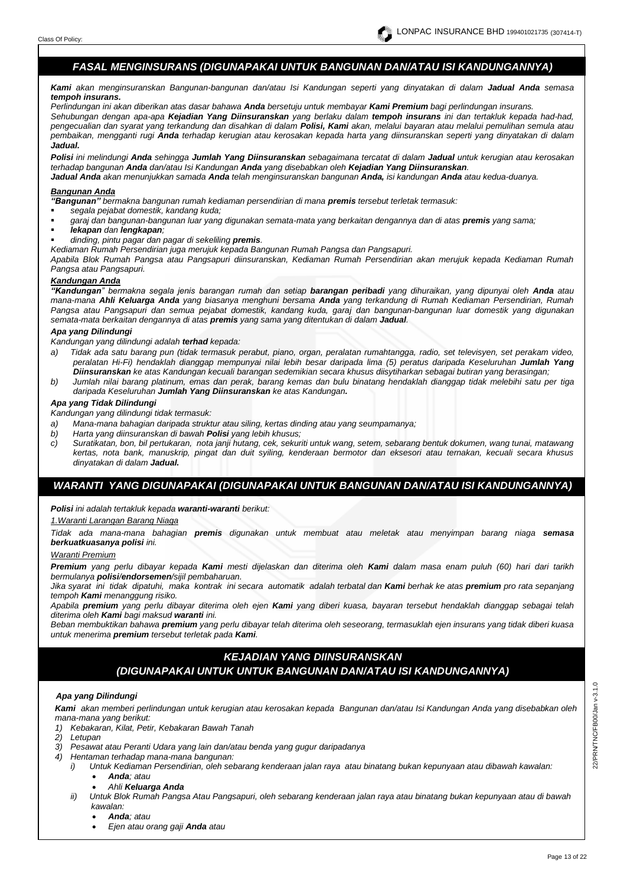# *FASAL MENGINSURANS (DIGUNAPAKAI UNTUK BANGUNAN DAN/ATAU ISI KANDUNGANNYA)*

*Kami akan menginsuranskan Bangunan-bangunan dan/atau Isi Kandungan seperti yang dinyatakan di dalam Jadual Anda semasa tempoh insurans.*

*Perlindungan ini akan diberikan atas dasar bahawa Anda bersetuju untuk membayar Kami Premium bagi perlindungan insurans.*

*Sehubungan dengan apa-apa Kejadian Yang Diinsuranskan yang berlaku dalam tempoh insurans ini dan tertakluk kepada had-had, pengecualian dan syarat yang terkandung dan disahkan di dalam Polisi, Kami akan, melalui bayaran atau melalui pemulihan semula atau pembaikan, mengganti rugi Anda terhadap kerugian atau kerosakan kepada harta yang diinsuranskan seperti yang dinyatakan di dalam Jadual.*

*Polisi ini melindungi Anda sehingga Jumlah Yang Diinsuranskan sebagaimana tercatat di dalam Jadual untuk kerugian atau kerosakan terhadap bangunan Anda dan/atau Isi Kandungan Anda yang disebabkan oleh Kejadian Yang Diinsuranskan. Jadual Anda akan menunjukkan samada Anda telah menginsuranskan bangunan Anda, isi kandungan Anda atau kedua-duanya.* 

#### *Bangunan Anda*

*"Bangunan" bermakna bangunan rumah kediaman persendirian di mana premis tersebut terletak termasuk:*

- *segala pejabat domestik, kandang kuda;*
- *garaj dan bangunan-bangunan luar yang digunakan semata-mata yang berkaitan dengannya dan di atas premis yang sama;*
- *lekapan dan lengkapan;*
- *dinding, pintu pagar dan pagar di sekeliling premis.*
- *Kediaman Rumah Persendirian juga merujuk kepada Bangunan Rumah Pangsa dan Pangsapuri.*

*Apabila Blok Rumah Pangsa atau Pangsapuri diinsuranskan, Kediaman Rumah Persendirian akan merujuk kepada Kediaman Rumah Pangsa atau Pangsapuri.*

# *Kandungan Anda*

*"Kandungan" bermakna segala jenis barangan rumah dan setiap barangan peribadi yang dihuraikan, yang dipunyai oleh Anda atau mana-mana Ahli Keluarga Anda yang biasanya menghuni bersama Anda yang terkandung di Rumah Kediaman Persendirian, Rumah Pangsa atau Pangsapuri dan semua pejabat domestik, kandang kuda, garaj dan bangunan-bangunan luar domestik yang digunakan semata-mata berkaitan dengannya di atas premis yang sama yang ditentukan di dalam Jadual.*

# *Apa yang Dilindungi*

*Kandungan yang dilindungi adalah terhad kepada:*

- *a) Tidak ada satu barang pun (tidak termasuk perabut, piano, organ, peralatan rumahtangga, radio, set televisyen, set perakam video, peralatan Hi-Fi) hendaklah dianggap mempunyai nilai lebih besar daripada lima (5) peratus daripada Keseluruhan Jumlah Yang Diinsuranskan ke atas Kandungan kecuali barangan sedemikian secara khusus diisytiharkan sebagai butiran yang berasingan;*
- *b) Jumlah nilai barang platinum, emas dan perak, barang kemas dan bulu binatang hendaklah dianggap tidak melebihi satu per tiga daripada Keseluruhan Jumlah Yang Diinsuranskan ke atas Kandungan.*

# *Apa yang Tidak Dilindungi*

*Kandungan yang dilindungi tidak termasuk:*

- *a) Mana-mana bahagian daripada struktur atau siling, kertas dinding atau yang seumpamanya;*
- *b) Harta yang diinsuranskan di bawah Polisi yang lebih khusus;*
- *c) Suratikatan, bon, bil pertukaran, nota janji hutang, cek, sekuriti untuk wang, setem, sebarang bentuk dokumen, wang tunai, matawang kertas, nota bank, manuskrip, pingat dan duit syiling, kenderaan bermotor dan eksesori atau ternakan, kecuali secara khusus dinyatakan di dalam Jadual.*

# *WARANTI YANG DIGUNAPAKAI (DIGUNAPAKAI UNTUK BANGUNAN DAN/ATAU ISI KANDUNGANNYA)*

*Polisi ini adalah tertakluk kepada waranti-waranti berikut:*

#### *1.Waranti Larangan Barang Niaga*

*Tidak ada mana-mana bahagian premis digunakan untuk membuat atau meletak atau menyimpan barang niaga semasa berkuatkuasanya polisi ini.*

#### *Waranti Premium*

*Premium yang perlu dibayar kepada Kami mesti dijelaskan dan diterima oleh Kami dalam masa enam puluh (60) hari dari tarikh bermulanya polisi/endorsemen/sijil pembaharuan.*

*Jika syarat ini tidak dipatuhi, maka kontrak ini secara automatik adalah terbatal dan Kami berhak ke atas premium pro rata sepanjang tempoh Kami menanggung risiko.*

*Apabila premium yang perlu dibayar diterima oleh ejen Kami yang diberi kuasa, bayaran tersebut hendaklah dianggap sebagai telah diterima oleh Kami bagi maksud waranti ini.* 

*Beban membuktikan bahawa premium yang perlu dibayar telah diterima oleh seseorang, termasuklah ejen insurans yang tidak diberi kuasa untuk menerima premium tersebut terletak pada Kami.*

## *KEJADIAN YANG DIINSURANSKAN*

# *(DIGUNAPAKAI UNTUK UNTUK BANGUNAN DAN/ATAU ISI KANDUNGANNYA)*

#### *Apa yang Dilindungi*

*Kami akan memberi perlindungan untuk kerugian atau kerosakan kepada Bangunan dan/atau Isi Kandungan Anda yang disebabkan oleh mana-mana yang berikut:*

- *1) Kebakaran, Kilat, Petir, Kebakaran Bawah Tanah*
- *2) Letupan*
- *3) Pesawat atau Peranti Udara yang lain dan/atau benda yang gugur daripadanya*
- *4) Hentaman terhadap mana-mana bangunan:*
	- *i) Untuk Kediaman Persendirian, oleh sebarang kenderaan jalan raya atau binatang bukan kepunyaan atau dibawah kawalan:* • *Anda; atau* 
		- *Ahli Keluarga Anda*
	- *ii) Untuk Blok Rumah Pangsa Atau Pangsapuri, oleh sebarang kenderaan jalan raya atau binatang bukan kepunyaan atau di bawah kawalan:*
		- *Anda; atau*
		- *Ejen atau orang gaji Anda atau*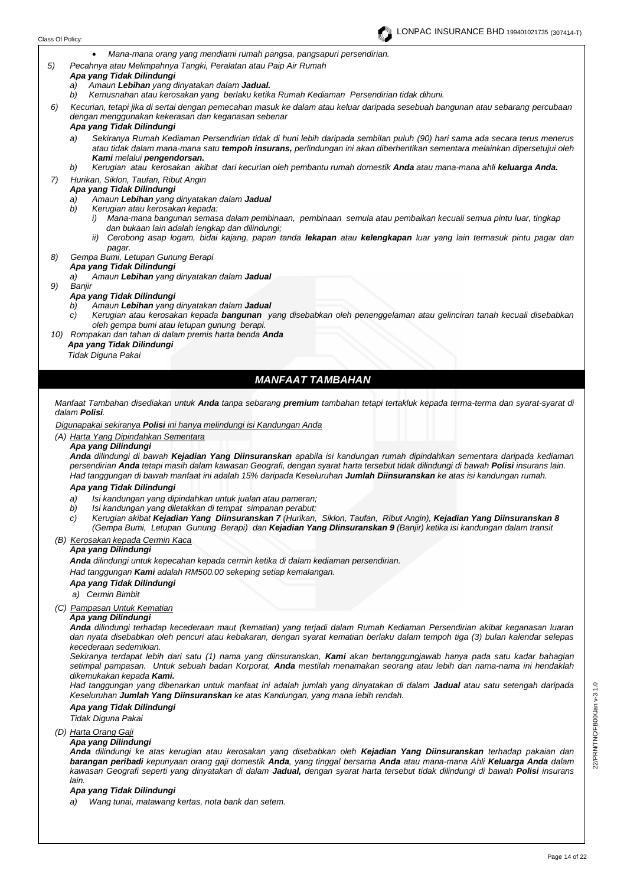

• *Mana-mana orang yang mendiami rumah pangsa, pangsapuri persendirian.*

*5) Pecahnya atau Melimpahnya Tangki, Peralatan atau Paip Air Rumah*

#### *Apa yang Tidak Dilindungi*

- *a) Amaun Lebihan yang dinyatakan dalam Jadual.*
- *b) Kemusnahan atau kerosakan yang berlaku ketika Rumah Kediaman Persendirian tidak dihuni.*
- *6) Kecurian, tetapi jika di sertai dengan pemecahan masuk ke dalam atau keluar daripada sesebuah bangunan atau sebarang percubaan dengan menggunakan kekerasan dan keganasan sebenar*

#### *Apa yang Tidak Dilindungi*

- *a) Sekiranya Rumah Kediaman Persendirian tidak di huni lebih daripada sembilan puluh (90) hari sama ada secara terus menerus atau tidak dalam mana-mana satu tempoh insurans, perlindungan ini akan diberhentikan sementara melainkan dipersetujui oleh Kami melalui pengendorsan.*
- *b) Kerugian atau kerosakan akibat dari kecurian oleh pembantu rumah domestik Anda atau mana-mana ahli keluarga Anda.*
- *7) Hurikan, Siklon, Taufan, Ribut Angin*

### *Apa yang Tidak Dilindungi*

- *a) Amaun Lebihan yang dinyatakan dalam Jadual*
- *b) Kerugian atau kerosakan kepada:* 
	- *i) Mana-mana bangunan semasa dalam pembinaan, pembinaan semula atau pembaikan kecuali semua pintu luar, tingkap dan bukaan lain adalah lengkap dan dilindungi;*
	- *ii) Cerobong asap logam, bidai kajang, papan tanda lekapan atau kelengkapan luar yang lain termasuk pintu pagar dan pagar.*

#### *8) Gempa Bumi, Letupan Gunung Berapi Apa yang Tidak Dilindungi*

- *a) Amaun Lebihan yang dinyatakan dalam Jadual*
- *9) Banjir*

#### *Apa yang Tidak Dilindungi*

- *b) Amaun Lebihan yang dinyatakan dalam Jadual*
- *c) Kerugian atau kerosakan kepada bangunan yang disebabkan oleh penenggelaman atau gelinciran tanah kecuali disebabkan oleh gempa bumi atau letupan gunung berapi.*
- *10) Rompakan dan tahan di dalam premis harta benda Anda Apa yang Tidak Dilindungi Tidak Diguna Pakai*

# *MANFAAT TAMBAHAN*

*Manfaat Tambahan disediakan untuk Anda tanpa sebarang premium tambahan tetapi tertakluk kepada terma-terma dan syarat-syarat di dalam Polisi.*

 *Digunapakai sekiranya Polisi ini hanya melindungi isi Kandungan Anda*

*(A) Harta Yang Dipindahkan Sementara*

# *Apa yang Dilindungi*

*Anda dilindungi di bawah Kejadian Yang Diinsuranskan apabila isi kandungan rumah dipindahkan sementara daripada kediaman persendirian Anda tetapi masih dalam kawasan Geografi, dengan syarat harta tersebut tidak dilindungi di bawah Polisi insurans lain. Had tanggungan di bawah manfaat ini adalah 15% daripada Keseluruhan Jumlah Diinsuranskan ke atas isi kandungan rumah.*

#### *Apa yang Tidak Dilindungi*

- *a) Isi kandungan yang dipindahkan untuk jualan atau pameran;*
- *b) Isi kandungan yang diletakkan di tempat simpanan perabut;*
- *c) Kerugian akibat Kejadian Yang Diinsuranskan 7 (Hurikan, Siklon, Taufan, Ribut Angin), Kejadian Yang Diinsuranskan 8 (Gempa Bumi, Letupan Gunung Berapi) dan Kejadian Yang DIinsuranskan 9 (Banjir) ketika isi kandungan dalam transit*

# *(B) Kerosakan kepada Cermin Kaca*

# *Apa yang Dilindungi*

*Anda dilindungi untuk kepecahan kepada cermin ketika di dalam kediaman persendirian.*

*Had tanggungan Kami adalah RM500.00 sekeping setiap kemalangan.*

#### *Apa yang Tidak Dilindungi*

*a) Cermin Bimbit*

### *(C) Pampasan Untuk Kematian*

# *Apa yang Dilindungi*

*Anda dilindungi terhadap kecederaan maut (kematian) yang terjadi dalam Rumah Kediaman Persendirian akibat keganasan luaran dan nyata disebabkan oleh pencuri atau kebakaran, dengan syarat kematian berlaku dalam tempoh tiga (3) bulan kalendar selepas kecederaan sedemikian.* 

*Sekiranya terdapat lebih dari satu (1) nama yang diinsuranskan, Kami akan bertanggungjawab hanya pada satu kadar bahagian setimpal pampasan. Untuk sebuah badan Korporat, Anda mestilah menamakan seorang atau lebih dan nama-nama ini hendaklah dikemukakan kepada Kami.*

*Had tanggungan yang dibenarkan untuk manfaat ini adalah jumlah yang dinyatakan di dalam Jadual atau satu setengah daripada Keseluruhan Jumlah Yang Diinsuranskan ke atas Kandungan, yang mana lebih rendah.*

### *Apa yang Tidak Dilindungi*

#### *Tidak Diguna Pakai*

#### *(D) Harta Orang Gaji*

#### *Apa yang Dilindungi*

*Anda dilindungi ke atas kerugian atau kerosakan yang disebabkan oleh Kejadian Yang Diinsuranskan terhadap pakaian dan barangan peribadi kepunyaan orang gaji domestik Anda, yang tinggal bersama Anda atau mana-mana Ahli Keluarga Anda dalam kawasan Geografi seperti yang dinyatakan di dalam Jadual, dengan syarat harta tersebut tidak dilindungi di bawah Polisi insurans lain.*

#### *Apa yang Tidak Dilindungi*

*a) Wang tunai, matawang kertas, nota bank dan setem.*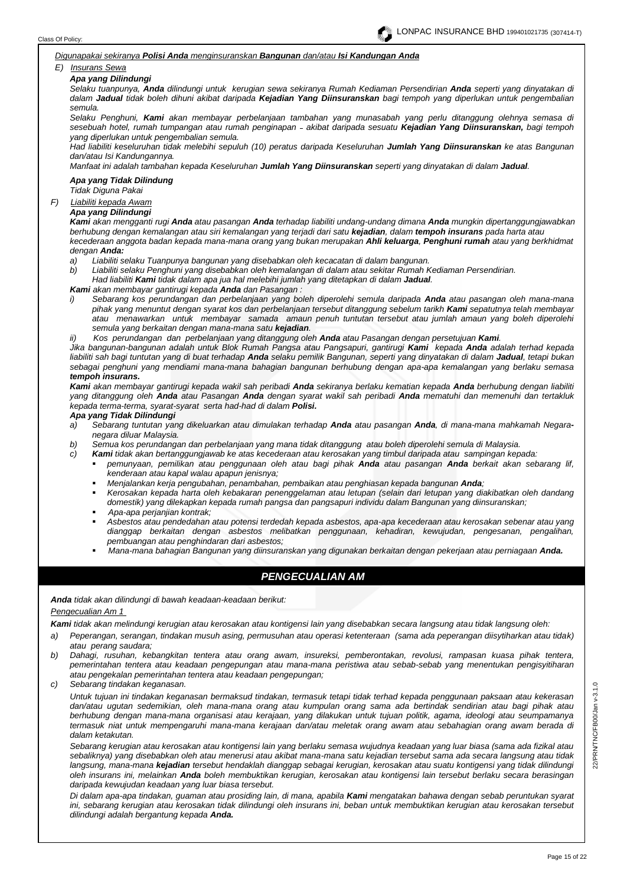#### *Digunapakai sekiranya Polisi Anda menginsuranskan Bangunan dan/atau Isi Kandungan Anda*

# *E) Insurans Sewa*

### *Apa yang Dilindungi*

*Selaku tuanpunya, Anda dilindungi untuk kerugian sewa sekiranya Rumah Kediaman Persendirian Anda seperti yang dinyatakan di dalam Jadual tidak boleh dihuni akibat daripada Kejadian Yang Diinsuranskan bagi tempoh yang diperlukan untuk pengembalian semula.*

*Selaku Penghuni, Kami akan membayar perbelanjaan tambahan yang munasabah yang perlu ditanggung olehnya semasa di sesebuah hotel, rumah tumpangan atau rumah penginapan akibat daripada sesuatu Kejadian Yang Diinsuranskan, bagi tempoh yang diperlukan untuk pengembalian semula.*

*Had liabiliti keseluruhan tidak melebihi sepuluh (10) peratus daripada Keseluruhan Jumlah Yang Diinsuranskan ke atas Bangunan dan/atau Isi Kandungannya.*

*Manfaat ini adalah tambahan kepada Keseluruhan Jumlah Yang Diinsuranskan seperti yang dinyatakan di dalam Jadual.*

# *Apa yang Tidak Dilindung*

*Tidak Diguna Pakai*

# *F) Liabiliti kepada Awam*

# *Apa yang Dilindungi*

*Kami akan mengganti rugi Anda atau pasangan Anda terhadap liabiliti undang-undang dimana Anda mungkin dipertanggungjawabkan berhubung dengan kemalangan atau siri kemalangan yang terjadi dari satu kejadian, dalam tempoh insurans pada harta atau kecederaan anggota badan kepada mana-mana orang yang bukan merupakan Ahli keluarga, Penghuni rumah atau yang berkhidmat dengan Anda:*

- *a) Liabiliti selaku Tuanpunya bangunan yang disebabkan oleh kecacatan di dalam bangunan.*
- *b) Liabiliti selaku Penghuni yang disebabkan oleh kemalangan di dalam atau sekitar Rumah Kediaman Persendirian.*

*Had liabiliti Kami tidak dalam apa jua hal melebihi jumlah yang ditetapkan di dalam Jadual.*

*Kami akan membayar gantirugi kepada Anda dan Pasangan :* 

*i) Sebarang kos perundangan dan perbelanjaan yang boleh diperolehi semula daripada Anda atau pasangan oleh mana-mana pihak yang menuntut dengan syarat kos dan perbelanjaan tersebut ditanggung sebelum tarikh Kami sepatutnya telah membayar atau menawarkan untuk membayar samada amaun penuh tuntutan tersebut atau jumlah amaun yang boleh diperolehi semula yang berkaitan dengan mana-mana satu kejadian.*

*ii) Kos perundangan dan perbelanjaan yang ditanggung oleh Anda atau Pasangan dengan persetujuan Kami.* 

*Jika bangunan-bangunan adalah untuk Blok Rumah Pangsa atau Pangsapuri, gantirugi Kami kepada Anda adalah terhad kepada liabiliti sah bagi tuntutan yang di buat terhadap Anda selaku pemilik Bangunan, seperti yang dinyatakan di dalam Jadual, tetapi bukan sebagai penghuni yang mendiami mana-mana bahagian bangunan berhubung dengan apa-apa kemalangan yang berlaku semasa tempoh insurans.*

*Kami akan membayar gantirugi kepada wakil sah peribadi Anda sekiranya berlaku kematian kepada Anda berhubung dengan liabiliti yang ditanggung oleh Anda atau Pasangan Anda dengan syarat wakil sah peribadi Anda mematuhi dan memenuhi dan tertakluk kepada terma-terma, syarat-syarat serta had-had di dalam Polisi.*

#### *Apa yang Tidak Dilindungi*

- *a) Sebarang tuntutan yang dikeluarkan atau dimulakan terhadap Anda atau pasangan Anda, di mana-mana mahkamah Negaranegara diluar Malaysia.*
- *b) Semua kos perundangan dan perbelanjaan yang mana tidak ditanggung atau boleh diperolehi semula di Malaysia.*
- *c) Kami tidak akan bertanggungjawab ke atas kecederaan atau kerosakan yang timbul daripada atau sampingan kepada:*
	- *pemunyaan, pemilikan atau penggunaan oleh atau bagi pihak Anda atau pasangan Anda berkait akan sebarang lif, kenderaan atau kapal walau apapun jenisnya;*
	- *Menjalankan kerja pengubahan, penambahan, pembaikan atau penghiasan kepada bangunan Anda;*
	- *Kerosakan kepada harta oleh kebakaran penenggelaman atau letupan (selain dari letupan yang diakibatkan oleh dandang domestik) yang dilekapkan kepada rumah pangsa dan pangsapuri individu dalam Bangunan yang diinsuranskan;*
	- *Apa-apa perjanjian kontrak;*
	- *Asbestos atau pendedahan atau potensi terdedah kepada asbestos, apa-apa kecederaan atau kerosakan sebenar atau yang dianggap berkaitan dengan asbestos melibatkan penggunaan, kehadiran, kewujudan, pengesanan, pengalihan, pembuangan atau penghindaran dari asbestos;*
	- *Mana-mana bahagian Bangunan yang diinsuranskan yang digunakan berkaitan dengan pekerjaan atau perniagaan Anda.*

# *PENGECUALIAN AM*

*Anda tidak akan dilindungi di bawah keadaan-keadaan berikut: Pengecualian Am 1* 

*Kami tidak akan melindungi kerugian atau kerosakan atau kontigensi lain yang disebabkan secara langsung atau tidak langsung oleh:*

- *a) Peperangan, serangan, tindakan musuh asing, permusuhan atau operasi ketenteraan (sama ada peperangan diisytiharkan atau tidak) atau perang saudara;*
- *b) Dahagi, rusuhan, kebangkitan tentera atau orang awam, insureksi, pemberontakan, revolusi, rampasan kuasa pihak tentera, pemerintahan tentera atau keadaan pengepungan atau mana-mana peristiwa atau sebab-sebab yang menentukan pengisyitiharan atau pengekalan pemerintahan tentera atau keadaan pengepungan;*
- *c) Sebarang tindakan keganasan.*

*Untuk tujuan ini tindakan keganasan bermaksud tindakan, termasuk tetapi tidak terhad kepada penggunaan paksaan atau kekerasan dan/atau ugutan sedemikian, oleh mana-mana orang atau kumpulan orang sama ada bertindak sendirian atau bagi pihak atau berhubung dengan mana-mana organisasi atau kerajaan, yang dilakukan untuk tujuan politik, agama, ideologi atau seumpamanya termasuk niat untuk mempengaruhi mana-mana kerajaan dan/atau meletak orang awam atau sebahagian orang awam berada di dalam ketakutan.*

*Sebarang kerugian atau kerosakan atau kontigensi lain yang berlaku semasa wujudnya keadaan yang luar biasa (sama ada fizikal atau sebaliknya) yang disebabkan oleh atau menerusi atau akibat mana-mana satu kejadian tersebut sama ada secara langsung atau tidak langsung, mana-mana kejadian tersebut hendaklah dianggap sebagai kerugian, kerosakan atau suatu kontigensi yang tidak dilindungi oleh insurans ini, melainkan Anda boleh membuktikan kerugian, kerosakan atau kontigensi lain tersebut berlaku secara berasingan daripada kewujudan keadaan yang luar biasa tersebut.* 

*Di dalam apa-apa tindakan, guaman atau prosiding lain, di mana, apabila Kami mengatakan bahawa dengan sebab peruntukan syarat ini, sebarang kerugian atau kerosakan tidak dilindungi oleh insurans ini, beban untuk membuktikan kerugian atau kerosakan tersebut dilindungi adalah bergantung kepada Anda.*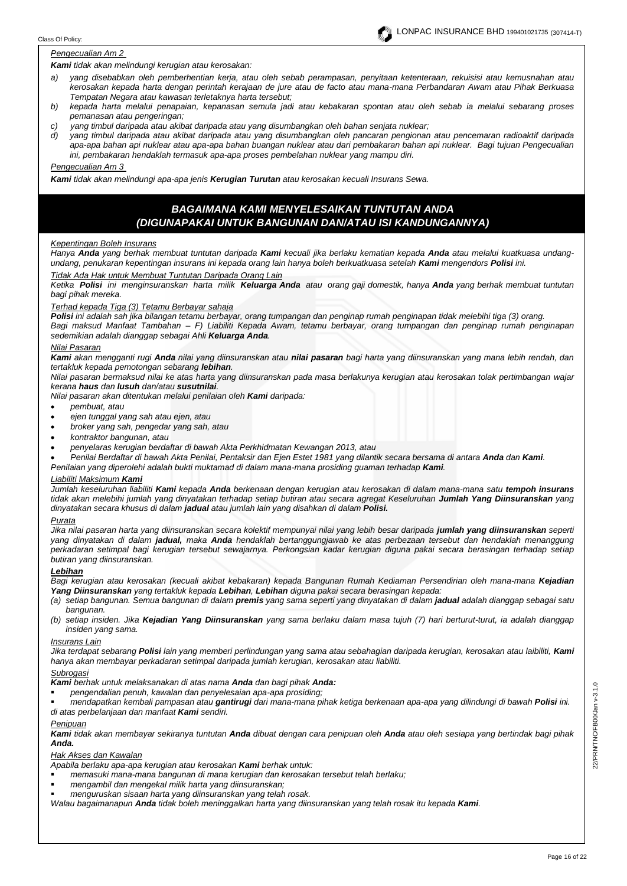#### *Pengecualian Am 2*

*Kami tidak akan melindungi kerugian atau kerosakan:*

- *a) yang disebabkan oleh pemberhentian kerja, atau oleh sebab perampasan, penyitaan ketenteraan, rekuisisi atau kemusnahan atau kerosakan kepada harta dengan perintah kerajaan de jure atau de facto atau mana-mana Perbandaran Awam atau Pihak Berkuasa Tempatan Negara atau kawasan terletaknya harta tersebut;*
- *b) kepada harta melalui penapaian, kepanasan semula jadi atau kebakaran spontan atau oleh sebab ia melalui sebarang proses pemanasan atau pengeringan;*
- *c) yang timbul daripada atau akibat daripada atau yang disumbangkan oleh bahan senjata nuklear;*
- *d) yang timbul daripada atau akibat daripada atau yang disumbangkan oleh pancaran pengionan atau pencemaran radioaktif daripada apa-apa bahan api nuklear atau apa-apa bahan buangan nuklear atau dari pembakaran bahan api nuklear. Bagi tujuan Pengecualian ini, pembakaran hendaklah termasuk apa-apa proses pembelahan nuklear yang mampu diri.*

#### *Pengecualian Am 3*

*Kami tidak akan melindungi apa-apa jenis Kerugian Turutan atau kerosakan kecuali Insurans Sewa.*

# *BAGAIMANA KAMI MENYELESAIKAN TUNTUTAN ANDA (DIGUNAPAKAI UNTUK BANGUNAN DAN/ATAU ISI KANDUNGANNYA)*

#### *Kepentingan Boleh Insurans*

*Hanya Anda yang berhak membuat tuntutan daripada Kami kecuali jika berlaku kematian kepada Anda atau melalui kuatkuasa undangundang, penukaran kepentingan insurans ini kepada orang lain hanya boleh berkuatkuasa setelah Kami mengendors Polisi ini.*

#### *Tidak Ada Hak untuk Membuat Tuntutan Daripada Orang Lain*

*Ketika Polisi ini menginsuranskan harta milik Keluarga Anda atau orang gaji domestik, hanya Anda yang berhak membuat tuntutan bagi pihak mereka.*

#### *Terhad kepada Tiga (3) Tetamu Berbayar sahaja*

*Polisi ini adalah sah jika bilangan tetamu berbayar, orang tumpangan dan penginap rumah penginapan tidak melebihi tiga (3) orang. Bagi maksud Manfaat Tambahan – F) Liabiliti Kepada Awam, tetamu berbayar, orang tumpangan dan penginap rumah penginapan sedemikian adalah dianggap sebagai Ahli Keluarga Anda.*

#### *Nilai Pasaran*

*Kami akan mengganti rugi Anda nilai yang diinsuranskan atau nilai pasaran bagi harta yang diinsuranskan yang mana lebih rendah, dan tertakluk kepada pemotongan sebarang lebihan.* 

*Nilai pasaran bermaksud nilai ke atas harta yang diinsuranskan pada masa berlakunya kerugian atau kerosakan tolak pertimbangan wajar kerana haus dan lusuh dan/atau susutnilai.*

*Nilai pasaran akan ditentukan melalui penilaian oleh Kami daripada:* 

- *pembuat, atau*
- *ejen tunggal yang sah atau ejen, atau*
- *broker yang sah, pengedar yang sah, atau*
- *kontraktor bangunan, atau*
- *penyelaras kerugian berdaftar di bawah Akta Perkhidmatan Kewangan 2013, atau*
- *Penilai Berdaftar di bawah Akta Penilai, Pentaksir dan Ejen Estet 1981 yang dilantik secara bersama di antara Anda dan Kami.*
- *Penilaian yang diperolehi adalah bukti muktamad di dalam mana-mana prosiding guaman terhadap Kami.*

### *Liabiliti Maksimum Kami*

*Jumlah keseluruhan liabiliti Kami kepada Anda berkenaan dengan kerugian atau kerosakan di dalam mana-mana satu tempoh insurans tidak akan melebihi jumlah yang dinyatakan terhadap setiap butiran atau secara agregat Keseluruhan Jumlah Yang Diinsuranskan yang dinyatakan secara khusus di dalam jadual atau jumlah lain yang disahkan di dalam Polisi.*

#### *Purata*

*Jika nilai pasaran harta yang diinsuranskan secara kolektif mempunyai nilai yang lebih besar daripada jumlah yang diinsuranskan seperti yang dinyatakan di dalam jadual, maka Anda hendaklah bertanggungjawab ke atas perbezaan tersebut dan hendaklah menanggung perkadaran setimpal bagi kerugian tersebut sewajarnya. Perkongsian kadar kerugian diguna pakai secara berasingan terhadap setiap butiran yang diinsuranskan.*

#### *Lebihan*

*Bagi kerugian atau kerosakan (kecuali akibat kebakaran) kepada Bangunan Rumah Kediaman Persendirian oleh mana-mana Kejadian Yang Diinsuranskan yang tertakluk kepada Lebihan, Lebihan diguna pakai secara berasingan kepada:*

- *(a) setiap bangunan. Semua bangunan di dalam premis yang sama seperti yang dinyatakan di dalam jadual adalah dianggap sebagai satu bangunan.*
- *(b) setiap insiden. Jika Kejadian Yang Diinsuranskan yang sama berlaku dalam masa tujuh (7) hari berturut-turut, ia adalah dianggap insiden yang sama.*

#### *Insurans Lain*

*Jika terdapat sebarang Polisi lain yang memberi perlindungan yang sama atau sebahagian daripada kerugian, kerosakan atau laibiliti, Kami hanya akan membayar perkadaran setimpal daripada jumlah kerugian, kerosakan atau liabiliti.* 

#### *Subrogasi*

- *Kami berhak untuk melaksanakan di atas nama Anda dan bagi pihak Anda:*
- *pengendalian penuh, kawalan dan penyelesaian apa-apa prosiding;*

▪ *mendapatkan kembali pampasan atau gantirugi dari mana-mana pihak ketiga berkenaan apa-apa yang dilindungi di bawah Polisi ini. di atas perbelanjaan dan manfaat Kami sendiri.*

#### *Penipuan*

*Kami tidak akan membayar sekiranya tuntutan Anda dibuat dengan cara penipuan oleh Anda atau oleh sesiapa yang bertindak bagi pihak Anda.*

#### *Hak Akses dan Kawalan*

*Apabila berlaku apa-apa kerugian atau kerosakan Kami berhak untuk:*

- *memasuki mana-mana bangunan di mana kerugian dan kerosakan tersebut telah berlaku;*
- *mengambil dan mengekal milik harta yang diinsuranskan;*
- *menguruskan sisaan harta yang diinsuranskan yang telah rosak.*

*Walau bagaimanapun Anda tidak boleh meninggalkan harta yang diinsuranskan yang telah rosak itu kepada Kami.*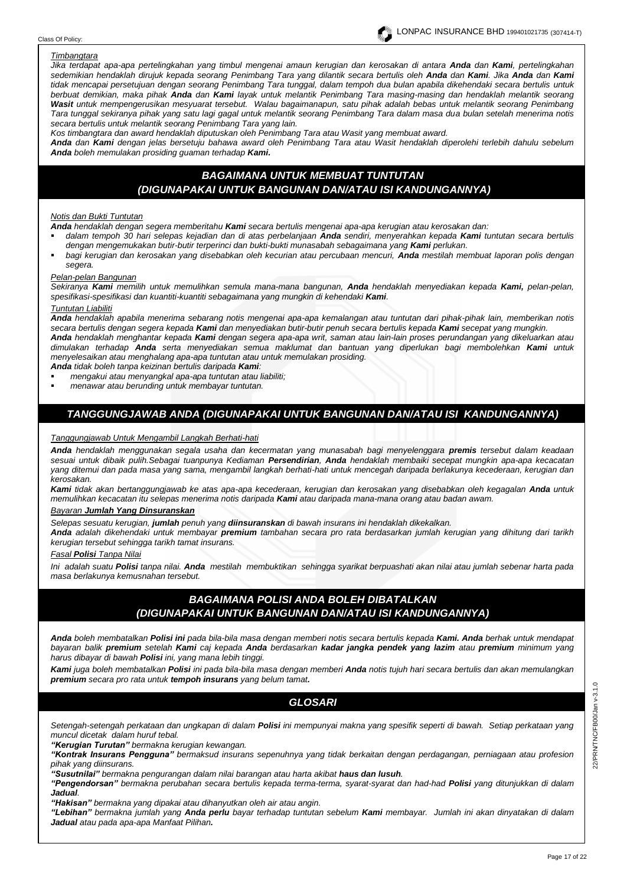#### Class Of Policy:

#### *Timbangtara*

*Jika terdapat apa-apa pertelingkahan yang timbul mengenai amaun kerugian dan kerosakan di antara Anda dan Kami, pertelingkahan sedemikian hendaklah dirujuk kepada seorang Penimbang Tara yang dilantik secara bertulis oleh Anda dan Kami. Jika Anda dan Kami tidak mencapai persetujuan dengan seorang Penimbang Tara tunggal, dalam tempoh dua bulan apabila dikehendaki secara bertulis untuk berbuat demikian, maka pihak Anda dan Kami layak untuk melantik Penimbang Tara masing-masing dan hendaklah melantik seorang Wasit untuk mempengerusikan mesyuarat tersebut. Walau bagaimanapun, satu pihak adalah bebas untuk melantik seorang Penimbang Tara tunggal sekiranya pihak yang satu lagi gagal untuk melantik seorang Penimbang Tara dalam masa dua bulan setelah menerima notis secara bertulis untuk melantik seorang Penimbang Tara yang lain.* 

*Kos timbangtara dan award hendaklah diputuskan oleh Penimbang Tara atau Wasit yang membuat award.*

*Anda dan Kami dengan jelas bersetuju bahawa award oleh Penimbang Tara atau Wasit hendaklah diperolehi terlebih dahulu sebelum Anda boleh memulakan prosiding guaman terhadap Kami.*

# *BAGAIMANA UNTUK MEMBUAT TUNTUTAN (DIGUNAPAKAI UNTUK BANGUNAN DAN/ATAU ISI KANDUNGANNYA)*

#### *Notis dan Bukti Tuntutan*

*Anda hendaklah dengan segera memberitahu Kami secara bertulis mengenai apa-apa kerugian atau kerosakan dan:*

- *dalam tempoh 30 hari selepas kejadian dan di atas perbelanjaan Anda sendiri, menyerahkan kepada Kami tuntutan secara bertulis dengan mengemukakan butir-butir terperinci dan bukti-bukti munasabah sebagaimana yang Kami perlukan.*
- *bagi kerugian dan kerosakan yang disebabkan oleh kecurian atau percubaan mencuri, Anda mestilah membuat laporan polis dengan segera.*

#### *Pelan-pelan Bangunan*

*Sekiranya Kami memilih untuk memulihkan semula mana-mana bangunan, Anda hendaklah menyediakan kepada Kami, pelan-pelan, spesifikasi-spesifikasi dan kuantiti-kuantiti sebagaimana yang mungkin di kehendaki Kami.*

#### *Tuntutan Liabiliti*

*Anda hendaklah apabila menerima sebarang notis mengenai apa-apa kemalangan atau tuntutan dari pihak-pihak lain, memberikan notis secara bertulis dengan segera kepada Kami dan menyediakan butir-butir penuh secara bertulis kepada Kami secepat yang mungkin. Anda hendaklah menghantar kepada Kami dengan segera apa-apa writ, saman atau lain-lain proses perundangan yang dikeluarkan atau dimulakan terhadap Anda serta menyediakan semua maklumat dan bantuan yang diperlukan bagi membolehkan Kami untuk* 

*menyelesaikan atau menghalang apa-apa tuntutan atau untuk memulakan prosiding. Anda tidak boleh tanpa keizinan bertulis daripada Kami:*

- *mengakui atau menyangkal apa-apa tuntutan atau liabiliti;*
- *menawar atau berunding untuk membayar tuntutan.*

# *TANGGUNGJAWAB ANDA (DIGUNAPAKAI UNTUK BANGUNAN DAN/ATAU ISI KANDUNGANNYA)*

#### *Tanggungjawab Untuk Mengambil Langkah Berhati-hati*

*Anda hendaklah menggunakan segala usaha dan kecermatan yang munasabah bagi menyelenggara premis tersebut dalam keadaan sesuai untuk dibaik pulih.Sebagai tuanpunya Kediaman Persendirian, Anda hendaklah membaiki secepat mungkin apa-apa kecacatan yang ditemui dan pada masa yang sama, mengambil langkah berhati-hati untuk mencegah daripada berlakunya kecederaan, kerugian dan kerosakan.*

*Kami tidak akan bertanggungjawab ke atas apa-apa kecederaan, kerugian dan kerosakan yang disebabkan oleh kegagalan Anda untuk memulihkan kecacatan itu selepas menerima notis daripada Kami atau daripada mana-mana orang atau badan awam.*

#### *Bayaran Jumlah Yang Dinsuranskan*

*Selepas sesuatu kerugian, jumlah penuh yang diinsuranskan di bawah insurans ini hendaklah dikekalkan.*

*Anda adalah dikehendaki untuk membayar premium tambahan secara pro rata berdasarkan jumlah kerugian yang dihitung dari tarikh kerugian tersebut sehingga tarikh tamat insurans.*

#### *Fasal Polisi Tanpa Nilai*

*Ini adalah suatu Polisi tanpa nilai. Anda mestilah membuktikan sehingga syarikat berpuashati akan nilai atau jumlah sebenar harta pada masa berlakunya kemusnahan tersebut.*

# *BAGAIMANA POLISI ANDA BOLEH DIBATALKAN (DIGUNAPAKAI UNTUK BANGUNAN DAN/ATAU ISI KANDUNGANNYA)*

*Anda boleh membatalkan Polisi ini pada bila-bila masa dengan memberi notis secara bertulis kepada Kami. Anda berhak untuk mendapat bayaran balik premium setelah Kami caj kepada Anda berdasarkan kadar jangka pendek yang lazim atau premium minimum yang harus dibayar di bawah Polisi ini, yang mana lebih tinggi.* 

*Kami juga boleh membatalkan Polisi ini pada bila-bila masa dengan memberi Anda notis tujuh hari secara bertulis dan akan memulangkan premium secara pro rata untuk tempoh insurans yang belum tamat.*

# *GLOSARI*

*Setengah-setengah perkataan dan ungkapan di dalam Polisi ini mempunyai makna yang spesifik seperti di bawah. Setiap perkataan yang muncul dicetak dalam huruf tebal.* 

*"Kerugian Turutan" bermakna kerugian kewangan.*

*"Kontrak Insurans Pengguna" bermaksud insurans sepenuhnya yang tidak berkaitan dengan perdagangan, perniagaan atau profesion pihak yang diinsurans.* 

*"Susutnilai" bermakna pengurangan dalam nilai barangan atau harta akibat haus dan lusuh.*

*"Pengendorsan" bermakna perubahan secara bertulis kepada terma-terma, syarat-syarat dan had-had Polisi yang ditunjukkan di dalam Jadual.*

*"Hakisan" bermakna yang dipakai atau dihanyutkan oleh air atau angin.*

*"Lebihan" bermakna jumlah yang Anda perlu bayar terhadap tuntutan sebelum Kami membayar. Jumlah ini akan dinyatakan di dalam Jadual atau pada apa-apa Manfaat Pilihan.*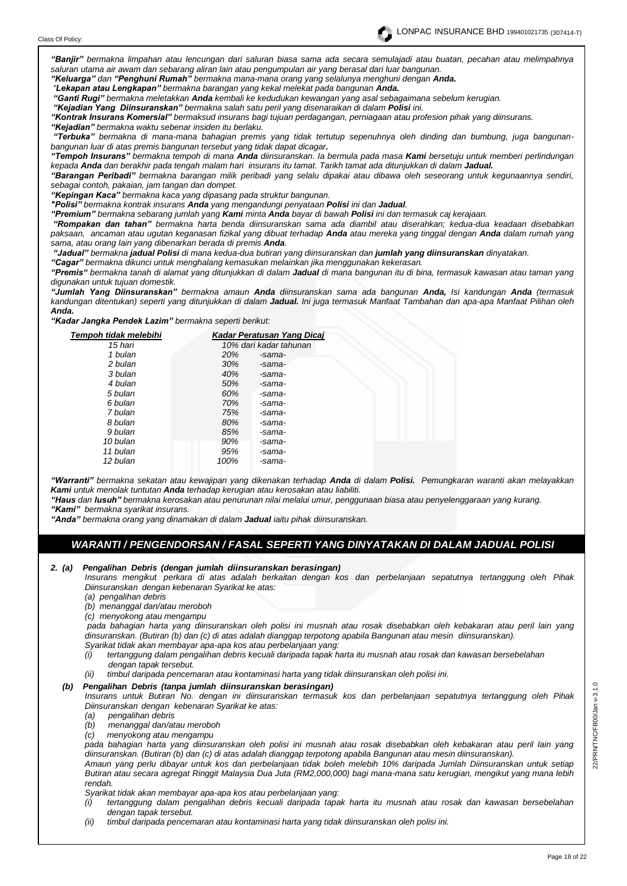*"Banjir" bermakna limpahan atau lencungan dari saluran biasa sama ada secara semulajadi atau buatan, pecahan atau melimpahnya saluran utama air awam dan sebarang aliran lain atau pengumpulan air yang berasal dari luar bangunan.* 

*"Keluarga" dan "Penghuni Rumah" bermakna mana-mana orang yang selalunya menghuni dengan Anda.*

*"Lekapan atau Lengkapan" bermakna barangan yang kekal melekat pada bangunan Anda.*

*"Ganti Rugi" bermakna meletakkan Anda kembali ke kedudukan kewangan yang asal sebagaimana sebelum kerugian.* 

*"Kejadian Yang Diinsuranskan" bermakna salah satu peril yang disenaraikan di dalam Polisi ini.*

*"Kontrak Insurans Komersial" bermaksud insurans bagi tujuan perdagangan, perniagaan atau profesion pihak yang diinsurans. "Kejadian" bermakna waktu sebenar insiden itu berlaku.*

*"Terbuka" bermakna di mana-mana bahagian premis yang tidak tertutup sepenuhnya oleh dinding dan bumbung, juga bangunanbangunan luar di atas premis bangunan tersebut yang tidak dapat dicagar.*

*"Tempoh Insurans" bermakna tempoh di mana Anda diinsuranskan. Ia bermula pada masa Kami bersetuju untuk memberi perlindungan kepada Anda dan berakhir pada tengah malam hari insurans itu tamat. Tarikh tamat ada ditunjukkan di dalam Jadual.*

*"Barangan Peribadi" bermakna barangan milik peribadi yang selalu dipakai atau dibawa oleh seseorang untuk kegunaannya sendiri, sebagai contoh, pakaian, jam tangan dan dompet.*

*"Kepingan Kaca" bermakna kaca yang dipasang pada struktur bangunan.*

*"Polisi" bermakna kontrak insurans Anda yang mengandungi penyataan Polisi ini dan Jadual.*

*"Premium" bermakna sebarang jumlah yang Kami minta Anda bayar di bawah Polisi ini dan termasuk caj kerajaan.*

*"Rompakan dan tahan" bermakna harta benda diinsuranskan sama ada diambil atau diserahkan; kedua-dua keadaan disebabkan paksaan, ancaman atau ugutan keganasan fizikal yang dibuat terhadap Anda atau mereka yang tinggal dengan Anda dalam rumah yang sama, atau orang lain yang dibenarkan berada di premis Anda.*

*"Jadual" bermakna jadual Polisi di mana kedua-dua butiran yang diinsuranskan dan jumlah yang diinsuranskan dinyatakan.* 

*"Cagar" bermakna dikunci untuk menghalang kemasukan melainkan jika menggunakan kekerasan.*

*"Premis" bermakna tanah di alamat yang ditunjukkan di dalam Jadual di mana bangunan itu di bina, termasuk kawasan atau taman yang digunakan untuk tujuan domestik.*

*"Jumlah Yang Diinsuranskan" bermakna amaun Anda diinsuranskan sama ada bangunan Anda, Isi kandungan Anda (termasuk kandungan ditentukan) seperti yang ditunjukkan di dalam Jadual. Ini juga termasuk Manfaat Tambahan dan apa-apa Manfaat Pilihan oleh Anda.*

*"Kadar Jangka Pendek Lazim" bermakna seperti berikut:*

| Tempoh tidak melebihi | Kadar Peratusan Yang Dicaj |  |
|-----------------------|----------------------------|--|
| 15 hari               | 10% dari kadar tahunan     |  |
| 1 bulan               | <b>20%</b><br>-sama-       |  |
| 2 bulan               | 30%<br>-sama-              |  |
| 3 bulan               | 40%<br>-sama-              |  |
| 4 bulan               | 50%<br>-sama-              |  |
| 5 bulan               | 60%<br>-sama-              |  |
| 6 bulan               | 70%<br>-sama-              |  |
| 7 bulan               | 75%<br>-sama-              |  |
| 8 bulan               | 80%<br>-sama-              |  |
| 9 bulan               | 85%<br>-sama-              |  |
| 10 bulan              | 90%<br>-sama-              |  |
| 11 bulan              | 95%<br>-sama-              |  |
| 12 bulan              | 100%<br>-sama-             |  |
|                       |                            |  |

*"Warranti" bermakna sekatan atau kewajipan yang dikenakan terhadap Anda di dalam Polisi. Pemungkaran waranti akan melayakkan Kami untuk menolak tuntutan Anda terhadap kerugian atau kerosakan atau liabiliti.* 

*"Haus dan lusuh" bermakna kerosakan atau penurunan nilai melalui umur, penggunaan biasa atau penyelenggaraan yang kurang. "Kami" bermakna syarikat insurans.*

*"Anda" bermakna orang yang dinamakan di dalam Jadual iaitu pihak diinsuranskan.*

# *WARANTI / PENGENDORSAN / FASAL SEPERTI YANG DINYATAKAN DI DALAM JADUAL POLISI*

*2. (a) Pengalihan Debris (dengan jumlah diinsuranskan berasingan)*

*Insurans mengikut perkara di atas adalah berkaitan dengan kos dan perbelanjaan sepatutnya tertanggung oleh Pihak Diinsuranskan dengan kebenaran Syarikat ke atas:*

*(a) pengalihan debris*

*(b) menanggal dan/atau meroboh* 

*(c) menyokong atau mengampu*

*pada bahagian harta yang diinsuranskan oleh polisi ini musnah atau rosak disebabkan oleh kebakaran atau peril lain yang dinsuranskan. (Butiran (b) dan (c) di atas adalah dianggap terpotong apabila Bangunan atau mesin diinsuranskan). Syarikat tidak akan membayar apa-apa kos atau perbelanjaan yang:*

- *(i) tertanggung dalam pengalihan debris kecuali daripada tapak harta itu musnah atau rosak dan kawasan bersebelahan dengan tapak tersebut.*
- *(ii) timbul daripada pencemaran atau kontaminasi harta yang tidak diinsuranskan oleh polisi ini.*

## *(b) Pengalihan Debris (tanpa jumlah diinsuranskan berasingan)*

*Insurans untuk Butiran No. dengan ini diinsuranskan termasuk kos dan perbelanjaan sepatutnya tertanggung oleh Pihak Diinsuranskan dengan kebenaran Syarikat ke atas:*

- *(a) pengalihan debris*
- *(b) menanggal dan/atau meroboh*
- *(c) menyokong atau mengampu*

*pada bahagian harta yang diinsuranskan oleh polisi ini musnah atau rosak disebabkan oleh kebakaran atau peril lain yang diinsuranskan. (Butiran (b) dan (c) di atas adalah dianggap terpotong apabila Bangunan atau mesin diinsuranskan).*

*Amaun yang perlu dibayar untuk kos dan perbelanjaan tidak boleh melebih 10% daripada Jumlah Diinsuranskan untuk setiap Butiran atau secara agregat Ringgit Malaysia Dua Juta (RM2,000,000) bagi mana-mana satu kerugian, mengikut yang mana lebih rendah.*

*Syarikat tidak akan membayar apa-apa kos atau perbelanjaan yang:*

- *(i) tertanggung dalam pengalihan debris kecuali daripada tapak harta itu musnah atau rosak dan kawasan bersebelahan dengan tapak tersebut.*
- *(ii) timbul daripada pencemaran atau kontaminasi harta yang tidak diinsuranskan oleh polisi ini.*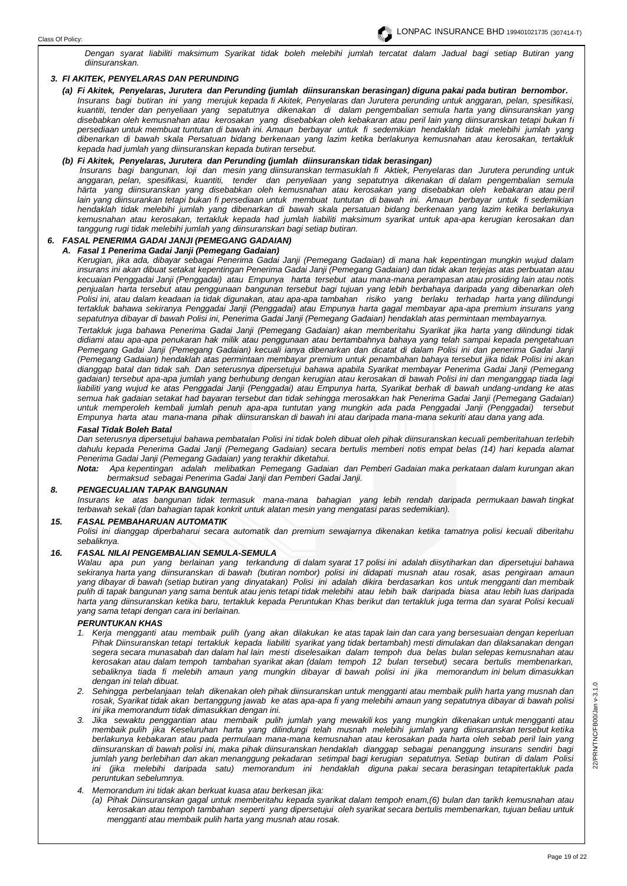

*Dengan syarat liabiliti maksimum Syarikat tidak boleh melebihi jumlah tercatat dalam Jadual bagi setiap Butiran yang diinsuranskan.*

## *3. Fl AKITEK, PENYELARAS DAN PERUNDING*

*(a) Fi Akitek, Penyelaras, Jurutera dan Perunding (jumlah diinsuranskan berasingan) diguna pakai pada butiran bernombor. Insurans bagi butiran ini yang merujuk kepada fi Akitek, Penyelaras dan Jurutera perunding untuk anggaran, pelan, spesifikasi, kuantiti, tender dan penyeliaan yang sepatutnya dikenakan di dalam pengembalian semula harta yang diinsuranskan yang disebabkan oleh kemusnahan atau kerosakan yang disebabkan oleh kebakaran atau peril lain yang diinsuranskan tetapi bukan fi persediaan untuk membuat tuntutan di bawah ini. Amaun berbayar untuk fi sedemikian hendaklah tidak melebihi jumlah yang dibenarkan di bawah skala Persatuan bidang berkenaan yang lazim ketika berlakunya kemusnahan atau kerosakan, tertakluk kepada had jumlah yang diinsuranskan kepada butiran tersebut.*

## *(b) Fi Akitek, Penyelaras, Jurutera dan Perunding (jumlah diinsuranskan tidak berasingan)*

*lnsurans bagi bangunan, loji dan mesin yang diinsuranskan termasuklah fi Aktiek, Penyelaras dan Jurutera perunding untuk anggaran, pelan, spesifikasi, kuantiti, tender dan penyeliaan yang sepatutnya dikenakan di dalam pengembalian semula härta yang diinsuranskan yang disebabkan oleh kemusnahan atau kerosakan yang disebabkan oleh kebakaran atau peril lain yang diinsurankan tetapi bukan fi persediaan untuk membuat tuntutan di bawah ini. Amaun berbayar untuk fi sedemikian hendaklah tidak melebihi jumlah yang dibenarkan di bawah skala persatuan bidang berkenaan yang lazim ketika berlakunya kemusnahan atau kerosakan, tertakluk kepada had jumlah liabiliti maksimum syarikat untuk apa-apa kerugian kerosakan dan tanggung rugi tidak melebihi jumlah yang diinsuranskan bagi setiap butiran.* 

# *6. FASAL PENERIMA GADAI JANJI (PEMEGANG GADAIAN)*

# *A. Fasal 1 Penerima Gadai Janji (Pemegang Gadaian)*

*Kerugian, jika ada, dibayar sebagai Penerima Gadai Janji (Pemegang Gadaian) di mana hak kepentingan mungkin wujud dalam insurans ini akan dibuat setakat kepentingan Penerima Gadai Janji (Pemegang Gadaian) dan tidak akan terjejas atas perbuatan atau kecuaian Penggadai Janji (Penggadai) atau Empunya harta tersebut atau mana-mana perampasan atau prosiding lain atau notis penjualan harta tersebut atau penggunaan bangunan tersebut bagi tujuan yang lebih berbahaya daripada yang dibenarkan oleh Polisi ini, atau dalam keadaan ia tidak digunakan, atau apa-apa tambahan risiko yang berlaku terhadap harta yang dilindungi tertakluk bahawa sekiranya Penggadai Janji (Penggadai) atau Empunya harta gagal membayar apa-apa premium insurans yang sepatutnya dibayar di bawah Polisi ini, Penerima Gadai Janji (Pemegang Gadaian) hendaklah atas permintaan membayarnya.* 

*Tertakluk juga bahawa Penerima Gadai Janji (Pemegang Gadaian) akan memberitahu Syarikat jika harta yang dilindungi tidak didiami atau apa-apa penukaran hak milik atau penggunaan atau bertambahnya bahaya yang telah sampai kepada pengetahuan Pemegang Gadai Janji (Pemegang Gadaian) kecuali ianya dibenarkan dan dicatat di dalam Polisi ini dan penerima Gadai Janji (Pemegang Gadaian) hendaklah atas permintaan membayar premium untuk penambahan bahaya tersebut jika tidak Polisi ini akan dianggap batal dan tidak sah. Dan seterusnya dipersetujui bahawa apabila Syarikat membayar Penerima Gadai Janji (Pemegang gadaian) tersebut apa-apa jumlah yang berhubung dengan kerugian atau kerosakan di bawah Polisi ini dan menganggap tiada lagi liabiliti yang wujud ke atas Penggadai Janji (Penggadai) atau Empunya harta, Syarikat berhak di bawah undang-undang ke atas semua hak gadaian setakat had bayaran tersebut dan tidak sehingga merosakkan hak Penerima Gadai Janji (Pemegang Gadaian) untuk memperoleh kembali jumlah penuh apa-apa tuntutan yang mungkin ada pada Penggadai Janji (Penggadai) tersebut Empunya harta atau mana-mana pihak diinsuranskan di bawah ini atau daripada mana-mana sekuriti atau dana yang ada.* 

#### *Fasal Tidak Boleh Batal*

*Dan seterusnya dipersetujui bahawa pembatalan Polisi ini tidak boleh dibuat oleh pihak diinsuranskan kecuali pemberitahuan terlebih dahulu kepada Penerima Gadai Janji (Pemegang Gadaian) secara bertulis memberi notis empat belas (14) hari kepada alamat Penerima Gadai Janji (Pemegang Gadaian) yang terakhir diketahui.* 

*Nota: Apa kepentingan adalah melibatkan Pemegang Gadaian dan Pemberi Gadaian maka perkataan dalam kurungan akan bermaksud sebagai Penerima Gadai Janji dan Pemberi Gadai Janji.* 

# *8. PENGECUALIAN TAPAK BANGUNAN*

*Insurans ke atas bangunan tidak termasuk mana-mana bahagian yang lebih rendah daripada permukaan bawah tingkat terbawah sekali (dan bahagian tapak konkrit untuk alatan mesin yang mengatasi paras sedemikian).* 

#### *15. FASAL PEMBAHARUAN AUTOMATIK*

*Polisi ini dianggap diperbaharui secara automatik dan premium sewajarnya dikenakan ketika tamatnya polisi kecuali diberitahu sebaliknya.*

#### *16. FASAL NILAI PENGEMBALIAN SEMULA-SEMULA*

*Walau apa pun yang berlainan yang terkandung di dalam syarat 17 polisi ini adalah diisytiharkan dan dipersetujui bahawa sekiranya harta yang diinsuranskan di bawah (butiran nombor) polisi ini didapati musnah atau rosak, asas pengiraan amaun yang dibayar di bawah (setiap butiran yang dinyatakan) Polisi ini adalah dikira berdasarkan kos untuk mengganti dan membaik pulih di tapak bangunan yang sama bentuk atau jenis tetapi tidak melebihi atau Iebih baik daripada biasa atau Iebih luas daripada harta yang diinsuranskan ketika baru, tertakluk kepada Peruntukan Khas berikut dan tertakluk juga terma dan syarat Polisi kecuali yang sama tetapi dengan cara ini berlainan.*

#### *PERUNTUKAN KHAS*

- *1. Kerja mengganti atau membaik pulih (yang akan dilakukan ke atas tapak lain dan cara yang bersesuaian dengan keperluan Pihak Diinsuranskan tetapi tertakluk kepada liabiliti syarikat yang tidak bertambah) mesti dimulakan dan dilaksanakan dengan segera secara munasabah dan dalam hal lain mesti diselesaikan dalam tempoh dua belas bulan selepas kemusnahan atau kerosakan atau dalam tempoh tambahan syarikat akan (dalam tempoh 12 bulan tersebut) secara bertulis membenarkan, sebaliknya tiada fi melebih amaun yang mungkin dibayar di bawah polisi ini jika memorandum ini belum dimasukkan dengan ini telah dibuat.*
- *2. Sehingga perbelanjaan telah dikenakan oleh pihak diinsuranskan untuk mengganti atau membaik pulih harta yang musnah dan rosak, Syarikat tidak akan bertanggung jawab ke atas apa-apa fi yang melebihi amaun yang sepatutnya dibayar di bawah polisi ini jika memorandum tidak dimasukkan dengan ini.*
- *3. Jika sewaktu penggantian atau membaik pulih jumlah yang mewakili kos yang mungkin dikenakan untuk mengganti atau membaik pulih jika Keseluruhan harta yang dilindungi telah musnah melebihi jumlah yang diinsuranskan tersebut ketika berlakunya kebakaran atau pada permulaan mana-mana kemusnahan atau kerosakan pada harta oleh sebab peril lain yang diinsuranskan di bawah polisi ini, maka pihak diinsuranskan hendaklah dianggap sebagai penanggung insurans sendiri bagi jumlah yang berlebihan dan akan menanggung pekadaran setimpal bagi kerugian sepatutnya. Setiap butiran di dalam Polisi ini (jika melebihi daripada satu) memorandum ini hendaklah diguna pakai secara berasingan tetapitertakluk pada peruntukan sebelumnya.*
- *4. Memorandum ini tidak akan berkuat kuasa atau berkesan jika:*
	- *(a) Pihak Diinsuranskan gagal untuk memberitahu kepada syarikat dalam tempoh enam,(6) bulan dan tarikh kemusnahan atau kerosakan atau tempoh tambahan seperti yang dipersetujui oleh syarikat secara bertulis membenarkan, tujuan beliau untuk mengganti atau membaik pulih harta yang musnah atau rosak.*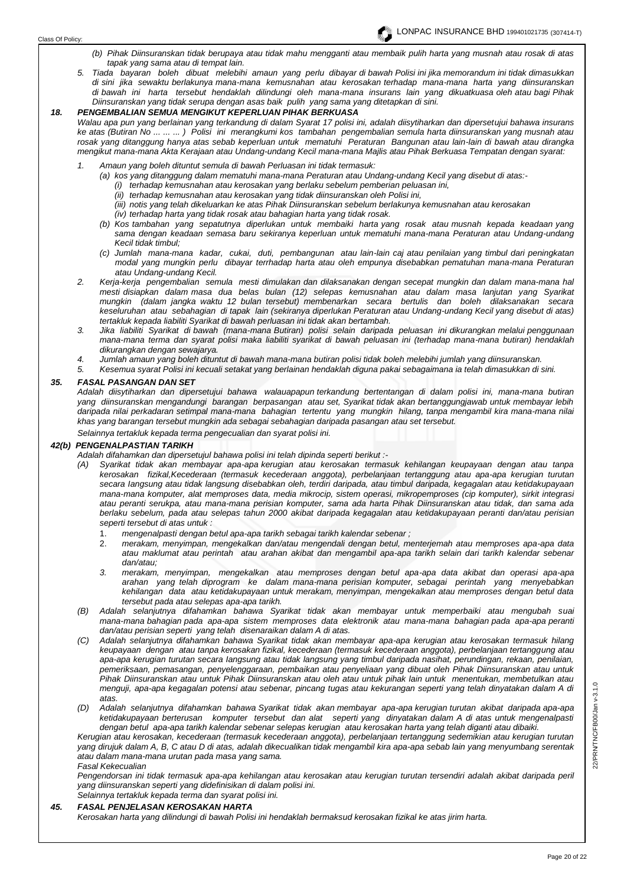- *(b) Pihak Diinsuranskan tidak berupaya atau tidak mahu mengganti atau membaik pulih harta yang musnah atau rosak di atas tapak yang sama atau di tempat lain.*
- *5. Tiada bayaran boleh dibuat melebihi amaun yang perlu dibayar di bawah Polisi ini jika memorandum ini tidak dimasukkan di sini jika sewaktu berlakunya mana-mana kemusnahan atau kerosakan terhadap mana-mana harta yang diinsuranskan di bawah ini harta tersebut hendaklah dilindungi oleh mana-mana insurans lain yang dikuatkuasa oleh atau bagi Pihak Diinsuranskan yang tidak serupa dengan asas baik pulih yang sama yang ditetapkan di sini.*

# *18. PENGEMBALIAN SEMUA MENGIKUT KEPERLUAN PIHAK BERKUASA*

*Walau apa pun yang berlainan yang terkandung di dalam Syarat 17 polisi ini, adalah diisytiharkan dan dipersetujui bahawa insurans ke atas (Butiran No ... ... ... ) Polisi ini merangkumi kos tambahan pengembalian semula harta diinsuranskan yang musnah atau rosak yang ditanggung hanya atas sebab keperluan untuk mematuhi Peraturan Bangunan atau lain-lain di bawah atau dirangka mengikut mana-mana Akta Kerajaan atau Undang-undang Kecil mana-mana Majlis atau Pihak Berkuasa Tempatan dengan syarat:*

- *1. Amaun yang boleh dituntut semula di bawah Perluasan ini tidak termasuk:*
	- *(a) kos yang ditanggung dalam mematuhi mana-mana Peraturan atau Undang-undang Kecil yang disebut di atas:-*
		- *(i) terhadap kemusnahan atau kerosakan yang berlaku sebelum pemberian peluasan ini,*
		- *(ii) terhadap kemusnahan atau kerosakan yang tidak diinsuranskan oleh Polisi ini,*
		- *(iii) notis yang telah dikeluarkan ke atas Pihak Diinsuranskan sebelum berlakunya kemusnahan atau kerosakan*
		- *(iv) terhadap harta yang tidak rosak atau bahagian harta yang tidak rosak.*
	- *(b) Kos tambahan yang sepatutnya diperlukan untuk membaiki harta yang rosak atau musnah kepada keadaan yang sama dengan keadaan semasa baru sekiranya keperluan untuk mematuhi mana-mana Peraturan atau Undang-undang Kecil tidak timbul;*
	- *(c) Jumlah mana-mana kadar, cukai, duti, pembangunan atau lain-lain caj atau penilaian yang timbul dari peningkatan modal yang mungkin perlu dibayar terrhadap harta atau oleh empunya disebabkan pematuhan mana-mana Peraturan atau Undang-undang Kecil.*
- *2. Kerja-kerja pengembalian semula mesti dimulakan dan dilaksanakan dengan secepat mungkin dan dalam mana-mana hal mesti disiapkan dalam masa dua belas bulan (12) selepas kemusnahan atau dalam masa lanjutan yang Syarikat mungkin (dalam jangka waktu 12 bulan tersebut) membenarkan secara bertulis dan boleh dilaksanakan secara keseluruhan atau sebahagian di tapak lain (sekiranya diperlukan Peraturan atau Undang-undang Kecil yang disebut di atas) tertakluk kepada liabiliti Syarikat di bawah perluasan ini tidak akan bertambah.*
- *3. Jika liabiliti Syarikat di bawah (mana-mana Butiran) polisi selain daripada peluasan ini dikurangkan melalui penggunaan mana-mana terma dan syarat polisi maka liabiliti syarikat di bawah peluasan ini (terhadap mana-mana butiran) hendaklah dikurangkan dengan sewajarya.*
- *4. Jumlah amaun yang boleh dituntut di bawah mana-mana butiran polisi tidak boleh melebihi jumlah yang diinsuranskan.*
- *5. Kesemua syarat Polisi ini kecuali setakat yang berlainan hendaklah diguna pakai sebagaimana ia telah dimasukkan di sini.*

#### *35. FASAL PASANGAN DAN SET*

*Adalah diisytiharkan dan dipersetujui bahawa walauapapun terkandung bertentangan di dalam polisi ini, mana-mana butiran yang diinsuranskan mengandungi barangan berpasangan atau set, Syarikat tidak akan bertanggungjawab untuk membayar lebih daripada nilai perkadaran setimpal mana-mana bahagian tertentu yang mungkin hilang, tanpa mengambil kira mana-mana nilai khas yang barangan tersebut mungkin ada sebagai sebahagian daripada pasangan atau set tersebut.*

*Selainnya tertakluk kepada terma pengecualian dan syarat polisi ini.*

# *42(b) PENGENALPASTIAN TARIKH*

- *Adalah difahamkan dan dipersetujul bahawa polisi ini telah dipinda seperti berikut :-*
- *(A) Syarikat tidak akan membayar apa-apa kerugian atau kerosakan termasuk kehilangan keupayaan dengan atau tanpa kerosakan fizikal,Kecederaan (termasuk kecederaan anggota), perbelanjaan tertanggung atau apa-apa kerugian turutan secara Iangsung atau tidak langsung disebabkan oleh, terdiri daripada, atau timbul daripada, kegagalan atau ketidakupayaan mana-mana komputer, alat memproses data, media mikrocip, sistem operasi, mikropemproses (cip komputer), sirkit integrasi atau peranti serukpa, atau mana-mana perisian komputer, sama ada harta Pihak Diinsuranskan atau tidak, dan sama ada berlaku sebelum, pada atau selepas tahun 2000 akibat daripada kegagalan atau ketidakupayaan peranti dan/atau perisian seperti tersebut di atas untuk :*
	- 1. *mengenalpasti dengan betul apa-apa tarikh sebagai tarikh kalendar sebenar ;*
	- 2. *merakam, menyimpan, mengekalkan dan/atau mengendali dengan betul, menterjemah atau memproses apa-apa data atau maklumat atau perintah atau arahan akibat dan mengambil apa-apa tarikh selain dari tarikh kalendar sebenar dan/atau;*
	- *3. merakam, menyimpan, mengekalkan atau memproses dengan betul apa-apa data akibat dan operasi apa-apa arahan yang telah diprogram ke dalam mana-mana perisian komputer, sebagai perintah yang menyebabkan kehilangan data atau ketidakupayaan untuk merakam, menyimpan, mengekalkan atau memproses dengan betul data tersebut pada atau selepas apa-apa tarikh.*
- *(B) Adalah selanjutnya difahamkan bahawa Syarikat tidak akan membayar untuk memperbaiki atau mengubah suai mana-mana bahagian pada apa-apa sistem memproses data elektronik atau mana-mana bahagian pada apa-apa peranti dan/atau perisian seperti yang telah disenaraikan dalam A di atas.*
- *(C) Adalah selanjutnya difahamkan bahawa Syarikat tidak akan membayar apa-apa kerugian atau kerosakan termasuk hilang keupayaan dengan atau tanpa kerosakan fizikal, kecederaan (termasuk kecederaan anggota), perbelanjaan tertanggung atau apa-apa kerugian turutan secara Iangsung atau tidak langsung yang timbul daripada nasihat, perundingan, rekaan, penilaian, pemeriksaan, pemasangan, penyelenggaraan, pembaikan atau penyeliaan yang dibuat oleh Pihak Diinsuranskan atau untuk Pihak Diinsuranskan atau untuk Pihak Diinsuranskan atau oleh atau untuk pihak lain untuk menentukan, membetulkan atau menguji, apa-apa kegagalan potensi atau sebenar, pincang tugas atau kekurangan seperti yang telah dinyatakan dalam A di atas.*
- *(D) Adalah selanjutnya difahamkan bahawa Syarikat tidak akan membayar apa-apa kerugian turutan akibat daripada apa-apa ketidakupayaan berterusan komputer tersebut dan alat seperti yang dinyatakan dalam A di atas untuk mengenalpasti dengan betul apa-apa tarikh kalendar sebenar selepas kerugian atau kerosakan harta yang telah diganti atau dibaiki.*

*Kerugian atau kerosakan, kecederaan (termasuk kecederaan anggota), perbelanjaan tertanggung sedemikian atau kerugian turutan yang dirujuk dalam A, B, C atau D di atas, adalah dikecualikan tidak mengambil kira apa-apa sebab lain yang menyumbang serentak atau dalam mana-mana urutan pada masa yang sama.* 

*Fasal Kekecualian* 

*Pengendorsan ini tidak termasuk apa-apa kehilangan atau kerosakan atau kerugian turutan tersendiri adalah akibat daripada peril yang diinsuranskan seperti yang didefinisikan di dalam polisi ini. Selainnya tertakluk kepada terma dan syarat polisi ini.* 

#### *45. FASAL PENJELASAN KEROSAKAN HARTA*

*Kerosakan harta yang dilindungi di bawah Polisi ini hendaklah bermaksud kerosakan fizikal ke atas jirim harta.*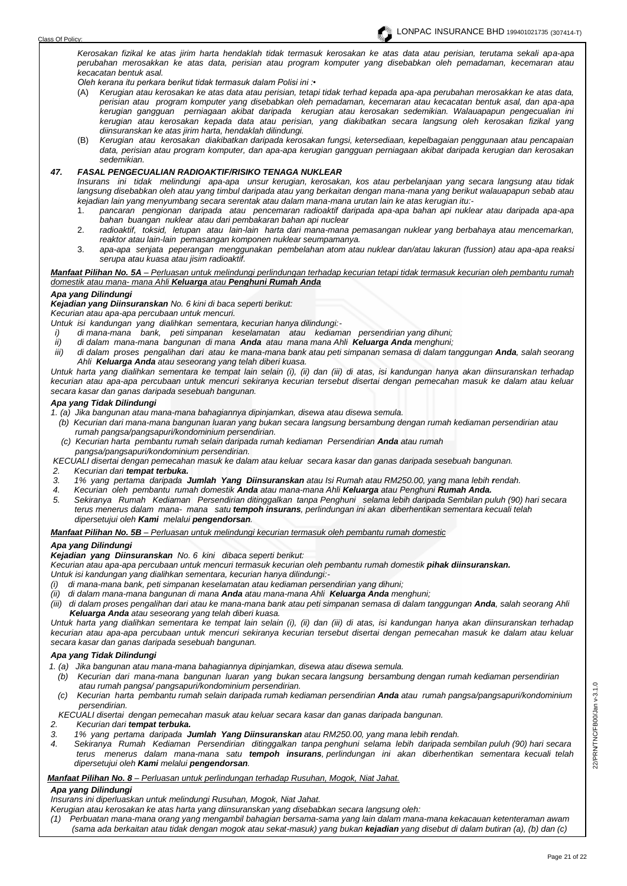*Kerosakan fizikal ke atas jirim harta hendaklah tidak termasuk kerosakan ke atas data atau perisian, terutama sekali apa-apa perubahan merosakkan ke atas data, perisian atau program komputer yang disebabkan oleh pemadaman, kecemaran atau kecacatan bentuk asal.* 

*Oleh kerana itu perkara berikut tidak termasuk dalam Polisi ini :•* 

- (A) *Kerugian atau kerosakan ke atas data atau perisian, tetapi tidak terhad kepada apa-apa perubahan merosakkan ke atas data, perisian atau program komputer yang disebabkan oleh pemadaman, kecemaran atau kecacatan bentuk asal, dan apa-apa kerugian gangguan perniagaan akibat daripada kerugian atau kerosakan sedemikian. Walauapapun pengecualian ini kerugian atau kerosakan kepada data atau perisian, yang diakibatkan secara langsung oleh kerosakan fizikal yang diinsuranskan ke atas jirim harta, hendaklah dilindungi.*
- (B) *Kerugian atau kerosakan diakibatkan daripada kerosakan fungsi, ketersediaan, kepelbagaian penggunaan atau pencapaian data, perisian atau program komputer, dan apa-apa kerugian gangguan perniagaan akibat daripada kerugian dan kerosakan sedemikian.*

### *47. FASAL PENGECUALIAN RADIOAKTIF/RISIKO TENAGA NUKLEAR*

*Insurans ini tidak melindungi apa-apa unsur kerugian, kerosakan, kos atau perbelanjaan yang secara langsung atau tidak langsung disebabkan oleh atau yang timbul daripada atau yang berkaitan dengan mana-mana yang berikut walauapapun sebab atau kejadian lain yang menyumbang secara serentak atau dalam mana-mana urutan lain ke atas kerugian itu:-*

- 1. *pancaran pengionan daripada atau pencemaran radioaktif daripada apa-apa bahan api nuklear atau daripada apa-apa bahan buangan nuklear atau dari pembakaran bahan api nuclear*
- 2. *radioaktif, toksid, letupan atau lain-lain harta dari mana-mana pemasangan nuklear yang berbahaya atau mencemarkan, reaktor atau lain-lain pemasangan komponen nuklear seumpamanya.*
- 3. *apa-apa senjata peperangan menggunakan pembelahan atom atau nuklear dan/atau lakuran (fussion) atau apa-apa reaksi serupa atau kuasa atau jisim radioaktif.*

#### *Manfaat Pilihan No. 5A – Perluasan untuk melindungi perlindungan terhadap kecurian tetapi tidak termasuk kecurian oleh pembantu rumah domestik atau mana- mana Ahli Keluarga atau Penghuni Rumah Anda*

#### *Apa yang Dilindungi*

*Kejadian yang Diinsuranskan No. 6 kini di baca seperti berikut:*

*Kecurian atau apa-apa percubaan untuk mencuri.*

*Untuk isi kandungan yang dialihkan sementara, kecurian hanya dilindungi:-*

- *i) di mana-mana bank, peti simpanan keselamatan atau kediaman persendirian yang dihuni;*
- *ii) di dalam mana-mana bangunan di mana Anda atau mana mana Ahli Keluarga Anda menghuni;*
- *iii) di dalam proses pengalihan dari atau ke mana-mana bank atau peti simpanan semasa di dalam tanggungan Anda, salah seorang Ahli Keluarga Anda atau seseorang yang telah diberi kuasa.*

*Untuk harta yang dialihkan sementara ke tempat lain selain (i), (ii) dan (iii) di atas, isi kandungan hanya akan diinsuranskan terhadap kecurian atau apa-apa percubaan untuk mencuri sekiranya kecurian tersebut disertai dengan pemecahan masuk ke dalam atau keluar secara kasar dan ganas daripada sesebuah bangunan.*

# *Apa yang Tidak Dilindungi*

*1. (a) Jika bangunan atau mana-mana bahagiannya dipinjamkan, disewa atau disewa semula.*

- *(b) Kecurian dari mana-mana bangunan luaran yang bukan secara langsung bersambung dengan rumah kediaman persendirian atau rumah pangsa/pangsapuri/kondominium persendirian.*
- *(c) Kecurian harta pembantu rumah selain daripada rumah kediaman Persendirian Anda atau rumah pangsa/pangsapuri/kondominium persendirian.*
- *KECUALI disertai dengan pemecahan masuk ke dalam atau keluar secara kasar dan ganas daripada sesebuah bangunan.*
- *2. Kecurian dari tempat terbuka.*
- *3. 1% yang pertama daripada Jumlah Yang Diinsuranskan atau Isi Rumah atau RM250.00, yang mana lebih rendah.*
- *4. Kecurian oleh pembantu rumah domestik Anda atau mana-mana Ahli Keluarga atau Penghuni Rumah Anda.*
- *5. Sekiranya Rumah Kediaman Persendirian ditinggalkan tanpa Penghuni selama lebih daripada Sembilan puluh (90) hari secara terus menerus dalam mana- mana satu tempoh insurans, perlindungan ini akan diberhentikan sementara kecuali telah dipersetujui oleh Kami melalui pengendorsan.*

*Manfaat Pilihan No. 5B – Perluasan untuk melindungi kecurian termasuk oleh pembantu rumah domestic*

# *Apa yang Dilindungi*

*Kejadian yang Diinsuranskan No. 6 kini dibaca seperti berikut:*

Kecurian atau apa-apa percubaan untuk mencuri termasuk kecurian oleh pembantu rumah domestik **pihak diinsuranskan.** 

- *Untuk isi kandungan yang dialihkan sementara, kecurian hanya dilindungi:-*
- *(i) di mana-mana bank, peti simpanan keselamatan atau kediaman persendirian yang dihuni;*
- *(ii) di dalam mana-mana bangunan di mana Anda atau mana-mana Ahli Keluarga Anda menghuni;*
- *(iii) di dalam proses pengalihan dari atau ke mana-mana bank atau peti simpanan semasa di dalam tanggungan Anda, salah seorang Ahli Keluarga Anda atau seseorang yang telah diberi kuasa.*

*Untuk harta yang dialihkan sementara ke tempat lain selain (i), (ii) dan (iii) di atas, isi kandungan hanya akan diinsuranskan terhadap kecurian atau apa-apa percubaan untuk mencuri sekiranya kecurian tersebut disertai dengan pemecahan masuk ke dalam atau keluar secara kasar dan ganas daripada sesebuah bangunan.*

#### *Apa yang Tidak Dilindungi*

- *1. (a) Jika bangunan atau mana-mana bahagiannya dipinjamkan, disewa atau disewa semula.*
	- *(b) Kecurian dari mana-mana bangunan luaran yang bukan secara langsung bersambung dengan rumah kediaman persendirian atau rumah pangsa/ pangsapuri/kondominium persendirian.*
	- *(c) Kecurian harta pembantu rumah selain daripada rumah kediaman persendirian Anda atau rumah pangsa/pangsapuri/kondominium persendirian.*

 *KECUALI disertai dengan pemecahan masuk atau keluar secara kasar dan ganas daripada bangunan.*

- *2. Kecurian dari tempat terbuka.*
- *3. 1% yang pertama daripada Jumlah Yang Diinsuranskan atau RM250.00, yang mana lebih rendah.*
- *4. Sekiranya Rumah Kediaman Persendirian ditinggalkan tanpa penghuni selama lebih daripada sembilan puluh (90) hari secara terus menerus dalam mana-mana satu tempoh insurans, perlindungan ini akan diberhentikan sementara kecuali telah dipersetujui oleh Kami melalui pengendorsan.*

*Manfaat Pilihan No. 8 – Perluasan untuk perlindungan terhadap Rusuhan, Mogok, Niat Jahat.*

# *Apa yang Dilindungi*

*Insurans ini diperluaskan untuk melindungi Rusuhan, Mogok, Niat Jahat.*

- *Kerugian atau kerosakan ke atas harta yang diinsuranskan yang disebabkan secara langsung oleh:*
- *(1) Perbuatan mana-mana orang yang mengambil bahagian bersama-sama yang lain dalam mana-mana kekacauan ketenteraman awam (sama ada berkaitan atau tidak dengan mogok atau sekat-masuk) yang bukan kejadian yang disebut di dalam butiran (a), (b) dan (c)*